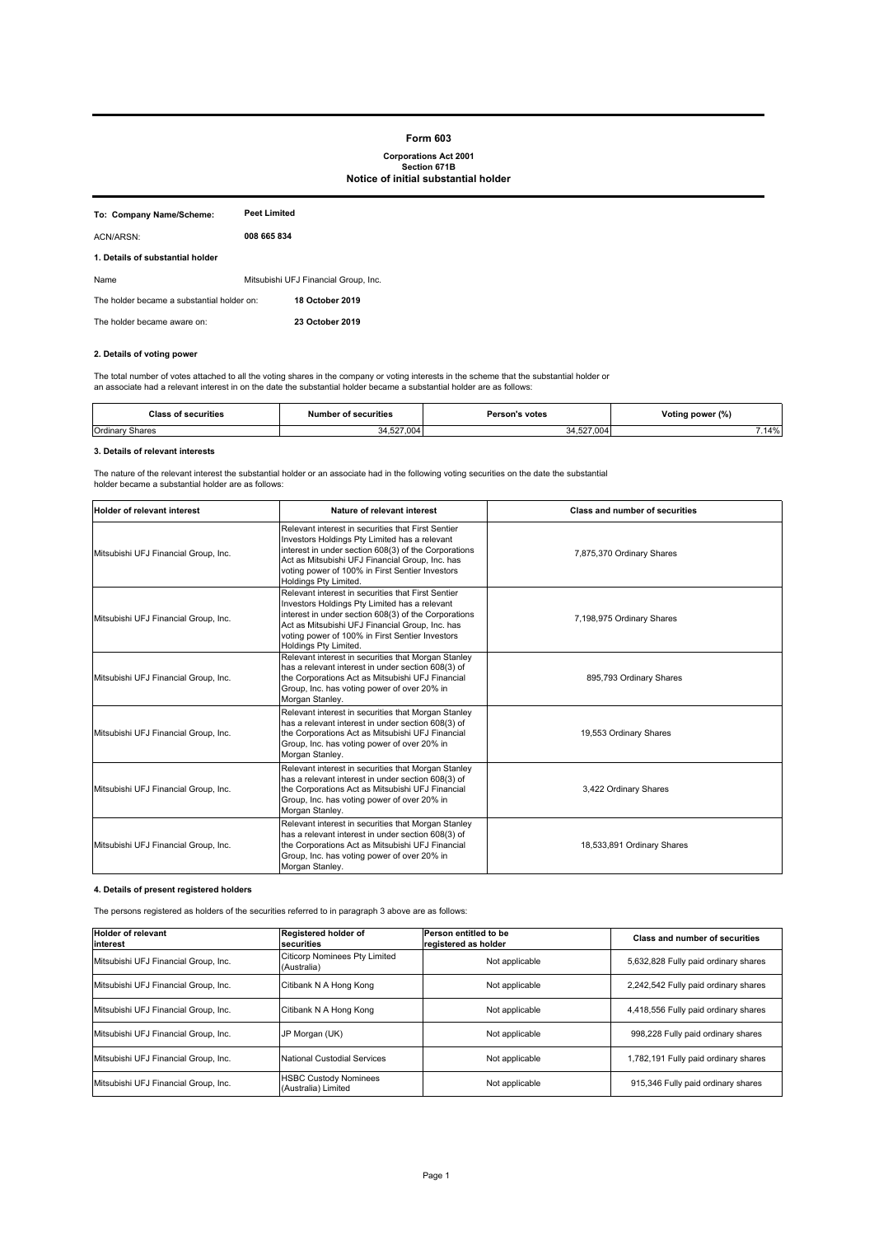#### **Form 603**

# **Corporations Act 2001 Section 671B Notice of initial substantial holder**

| To: Company Name/Scheme:                   | <b>Peet Limited</b>                  |
|--------------------------------------------|--------------------------------------|
| ACN/ARSN:                                  | 008 665 834                          |
| 1. Details of substantial holder           |                                      |
| Name                                       | Mitsubishi UFJ Financial Group, Inc. |
| The holder became a substantial holder on: | <b>18 October 2019</b>               |
| The holder became aware on:                | 23 October 2019                      |

#### **2. Details of voting power**

The total number of votes attached to all the voting shares in the company or voting interests in the scheme that the substantial holder or<br>an associate had a relevant interest in on the date the substantial holder became

| securities<br>ию.<br>. | ' securities<br>Jumber<br>. | Person's votes<br>. | Voting power (%) |
|------------------------|-----------------------------|---------------------|------------------|
| Ordinary               | $F^{\sim}$ $\sim$           | .004                | .14%             |
| ∵Shares                | UU4                         | ' ≀ ∠ن ، ∼          |                  |

#### **3. Details of relevant interests**

The nature of the relevant interest the substantial holder or an associate had in the following voting securities on the date the substantial holder became a substantial holder are as follows:

| <b>Holder of relevant interest</b>   | Nature of relevant interest                                                                                                                                                                                                                                                                | <b>Class and number of securities</b> |
|--------------------------------------|--------------------------------------------------------------------------------------------------------------------------------------------------------------------------------------------------------------------------------------------------------------------------------------------|---------------------------------------|
| Mitsubishi UFJ Financial Group, Inc. | Relevant interest in securities that First Sentier<br>Investors Holdings Pty Limited has a relevant<br>interest in under section 608(3) of the Corporations<br>Act as Mitsubishi UFJ Financial Group, Inc. has<br>voting power of 100% in First Sentier Investors<br>Holdings Pty Limited. | 7,875,370 Ordinary Shares             |
| Mitsubishi UFJ Financial Group, Inc. | Relevant interest in securities that First Sentier<br>Investors Holdings Pty Limited has a relevant<br>interest in under section 608(3) of the Corporations<br>Act as Mitsubishi UFJ Financial Group, Inc. has<br>voting power of 100% in First Sentier Investors<br>Holdings Pty Limited. | 7,198,975 Ordinary Shares             |
| Mitsubishi UFJ Financial Group, Inc. | Relevant interest in securities that Morgan Stanley<br>has a relevant interest in under section 608(3) of<br>the Corporations Act as Mitsubishi UFJ Financial<br>Group, Inc. has voting power of over 20% in<br>Morgan Stanley.                                                            | 895,793 Ordinary Shares               |
| Mitsubishi UFJ Financial Group, Inc. | Relevant interest in securities that Morgan Stanley<br>has a relevant interest in under section 608(3) of<br>the Corporations Act as Mitsubishi UFJ Financial<br>Group, Inc. has voting power of over 20% in<br>Morgan Stanley.                                                            | 19,553 Ordinary Shares                |
| Mitsubishi UFJ Financial Group, Inc. | Relevant interest in securities that Morgan Stanley<br>has a relevant interest in under section 608(3) of<br>the Corporations Act as Mitsubishi UFJ Financial<br>Group, Inc. has voting power of over 20% in<br>Morgan Stanley.                                                            | 3,422 Ordinary Shares                 |
| Mitsubishi UFJ Financial Group, Inc. | Relevant interest in securities that Morgan Stanley<br>has a relevant interest in under section 608(3) of<br>the Corporations Act as Mitsubishi UFJ Financial<br>Group, Inc. has voting power of over 20% in<br>Morgan Stanley.                                                            | 18,533,891 Ordinary Shares            |

# **4. Details of present registered holders**

The persons registered as holders of the securities referred to in paragraph 3 above are as follows:

| <b>Holder of relevant</b><br>linterest | Registered holder of<br>securities                  | Person entitled to be<br>registered as holder | Class and number of securities       |
|----------------------------------------|-----------------------------------------------------|-----------------------------------------------|--------------------------------------|
| Mitsubishi UFJ Financial Group, Inc.   | Citicorp Nominees Pty Limited<br>(Australia)        | Not applicable                                | 5,632,828 Fully paid ordinary shares |
| Mitsubishi UFJ Financial Group, Inc.   | Citibank N A Hong Kong                              | Not applicable                                | 2,242,542 Fully paid ordinary shares |
| Mitsubishi UFJ Financial Group, Inc.   | Citibank N A Hong Kong                              | Not applicable                                | 4,418,556 Fully paid ordinary shares |
| Mitsubishi UFJ Financial Group, Inc.   | JP Morgan (UK)                                      | Not applicable                                | 998,228 Fully paid ordinary shares   |
| Mitsubishi UFJ Financial Group, Inc.   | <b>National Custodial Services</b>                  | Not applicable                                | 1,782,191 Fully paid ordinary shares |
| Mitsubishi UFJ Financial Group, Inc.   | <b>HSBC Custody Nominees</b><br>(Australia) Limited | Not applicable                                | 915,346 Fully paid ordinary shares   |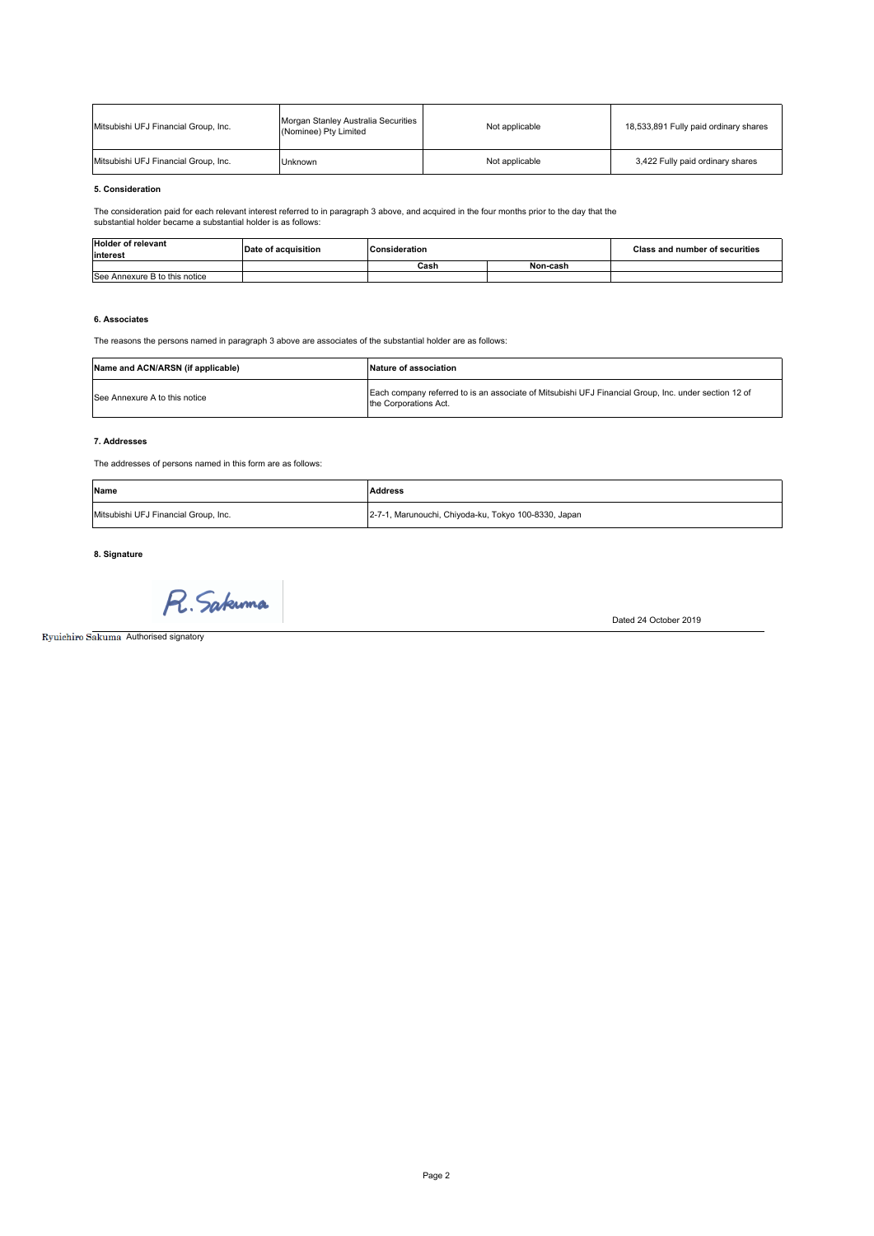| Mitsubishi UFJ Financial Group, Inc. | Morgan Stanley Australia Securities<br>(Nominee) Pty Limited | Not applicable | 18,533,891 Fully paid ordinary shares |  |
|--------------------------------------|--------------------------------------------------------------|----------------|---------------------------------------|--|
| Mitsubishi UFJ Financial Group, Inc. | Unknown                                                      | Not applicable | 3,422 Fully paid ordinary shares      |  |

#### **5. Consideration**

The consideration paid for each relevant interest referred to in paragraph 3 above, and acquired in the four months prior to the day that the substantial holder became a substantial holder is as follows:

| <b>Holder of relevant</b><br>linterest | of acquisition ؛<br>Date | <b>IConsideration</b> |  | <b>Class and number of securities</b> |
|----------------------------------------|--------------------------|-----------------------|--|---------------------------------------|
|                                        |                          | Cash<br>Non-cash      |  |                                       |
| See Annexure B to this notice          |                          |                       |  |                                       |

# **6. Associates**

The reasons the persons named in paragraph 3 above are associates of the substantial holder are as follows:

| Name and ACN/ARSN (if applicable) | <b>Nature of association</b>                                                                                                  |
|-----------------------------------|-------------------------------------------------------------------------------------------------------------------------------|
| See Annexure A to this notice     | Each company referred to is an associate of Mitsubishi UFJ Financial Group, Inc. under section 12 of<br>the Corporations Act. |

# **7. Addresses**

The addresses of persons named in this form are as follows:

| Name                                 | <b>Address</b>                                       |
|--------------------------------------|------------------------------------------------------|
| Mitsubishi UFJ Financial Group, Inc. | 2-7-1, Marunouchi, Chiyoda-ku, Tokyo 100-8330, Japan |

**8. Signature**

R. Sakuma

Ryuichiro Sakuma Authorised signatory

Dated 24 October 2019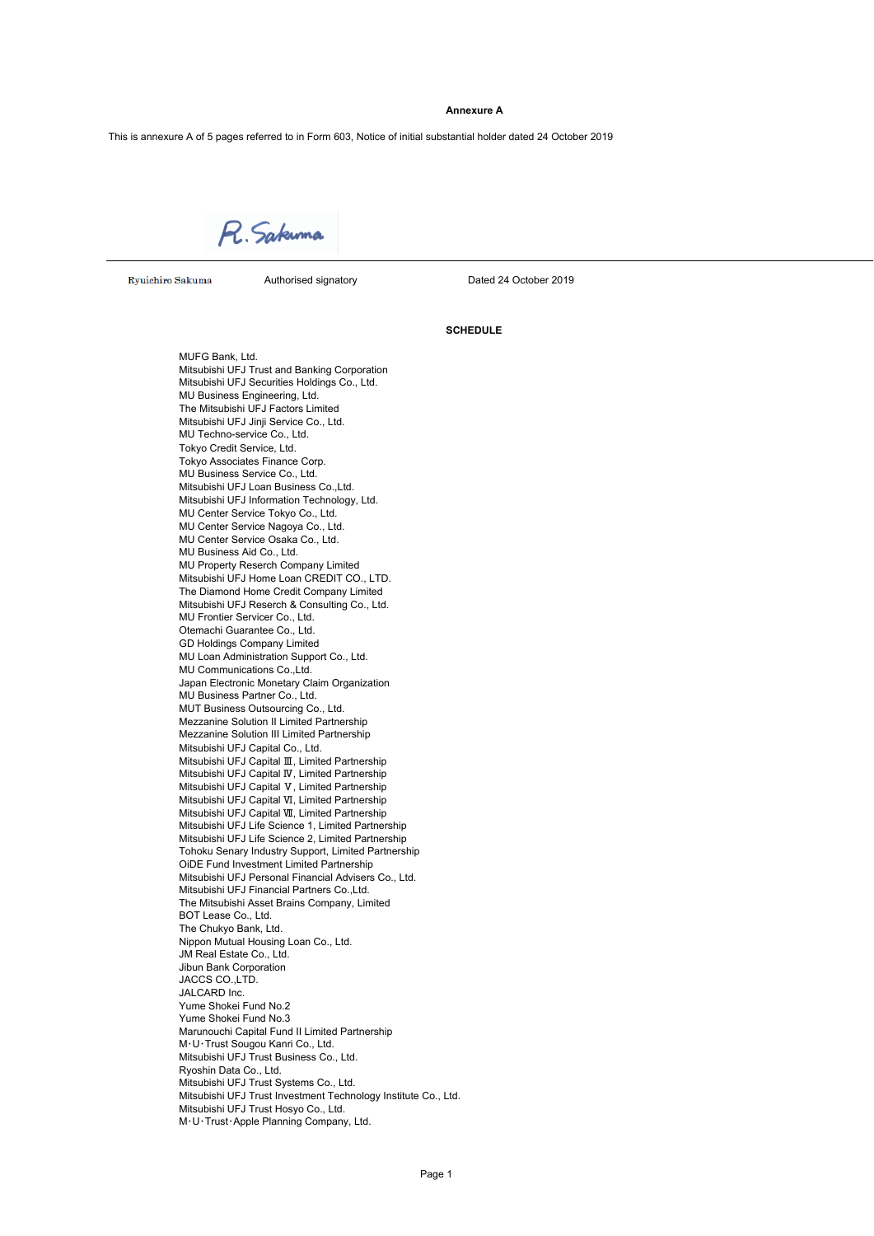#### **Annexure A**

This is annexure A of 5 pages referred to in Form 603, Notice of initial substantial holder dated 24 October 2019

R. Sakuma

Ryuichiro Sakuma (Authorised signatory Communicated 24 October 2019

#### **SCHEDULE**

MUFG Bank, Ltd. Mitsubishi UFJ Trust and Banking Corporation Mitsubishi UFJ Securities Holdings Co., Ltd. MU Business Engineering, Ltd. The Mitsubishi UFJ Factors Limited Mitsubishi UFJ Jinji Service Co., Ltd. MU Techno-service Co., Ltd. Tokyo Credit Service, Ltd. Tokyo Associates Finance Corp. MU Business Service Co., Ltd. Mitsubishi UFJ Loan Business Co.,Ltd. Mitsubishi UFJ Information Technology, Ltd. MU Center Service Tokyo Co., Ltd. MU Center Service Nagoya Co., Ltd. MU Center Service Osaka Co., Ltd. MU Business Aid Co., Ltd. MU Property Reserch Company Limited Mitsubishi UFJ Home Loan CREDIT CO., LTD. The Diamond Home Credit Company Limited Mitsubishi UFJ Reserch & Consulting Co., Ltd. MU Frontier Servicer Co., Ltd. Otemachi Guarantee Co., Ltd. GD Holdings Company Limited MU Loan Administration Support Co., Ltd. MU Communications Co.,Ltd. Japan Electronic Monetary Claim Organization MU Business Partner Co., Ltd. MUT Business Outsourcing Co., Ltd. Mezzanine Solution II Limited Partnership Mezzanine Solution III Limited Partnership Mitsubishi UFJ Capital Co., Ltd. Mitsubishi UFJ Capital Ⅲ, Limited Partnership Mitsubishi UFJ Capital Ⅳ, Limited Partnership Mitsubishi UFJ Capital Ⅴ, Limited Partnership Mitsubishi UFJ Capital Ⅵ, Limited Partnership Mitsubishi UFJ Capital Ⅶ, Limited Partnership Mitsubishi UFJ Life Science 1, Limited Partnership Mitsubishi UFJ Life Science 2, Limited Partnership Tohoku Senary Industry Support, Limited Partnership OiDE Fund Investment Limited Partnership Mitsubishi UFJ Personal Financial Advisers Co., Ltd. Mitsubishi UFJ Financial Partners Co.,Ltd. The Mitsubishi Asset Brains Company, Limited BOT Lease Co., Ltd. The Chukyo Bank, Ltd. Nippon Mutual Housing Loan Co., Ltd. JM Real Estate Co., Ltd. Jibun Bank Corporation JACCS CO.,LTD. JALCARD Inc. Yume Shokei Fund No.2 Yume Shokei Fund No.3 Marunouchi Capital Fund II Limited Partnership M・U・Trust Sougou Kanri Co., Ltd. Mitsubishi UFJ Trust Business Co., Ltd. Ryoshin Data Co., Ltd. Mitsubishi UFJ Trust Systems Co., Ltd. Mitsubishi UFJ Trust Investment Technology Institute Co., Ltd. Mitsubishi UFJ Trust Hosyo Co., Ltd. M・U・Trust・Apple Planning Company, Ltd.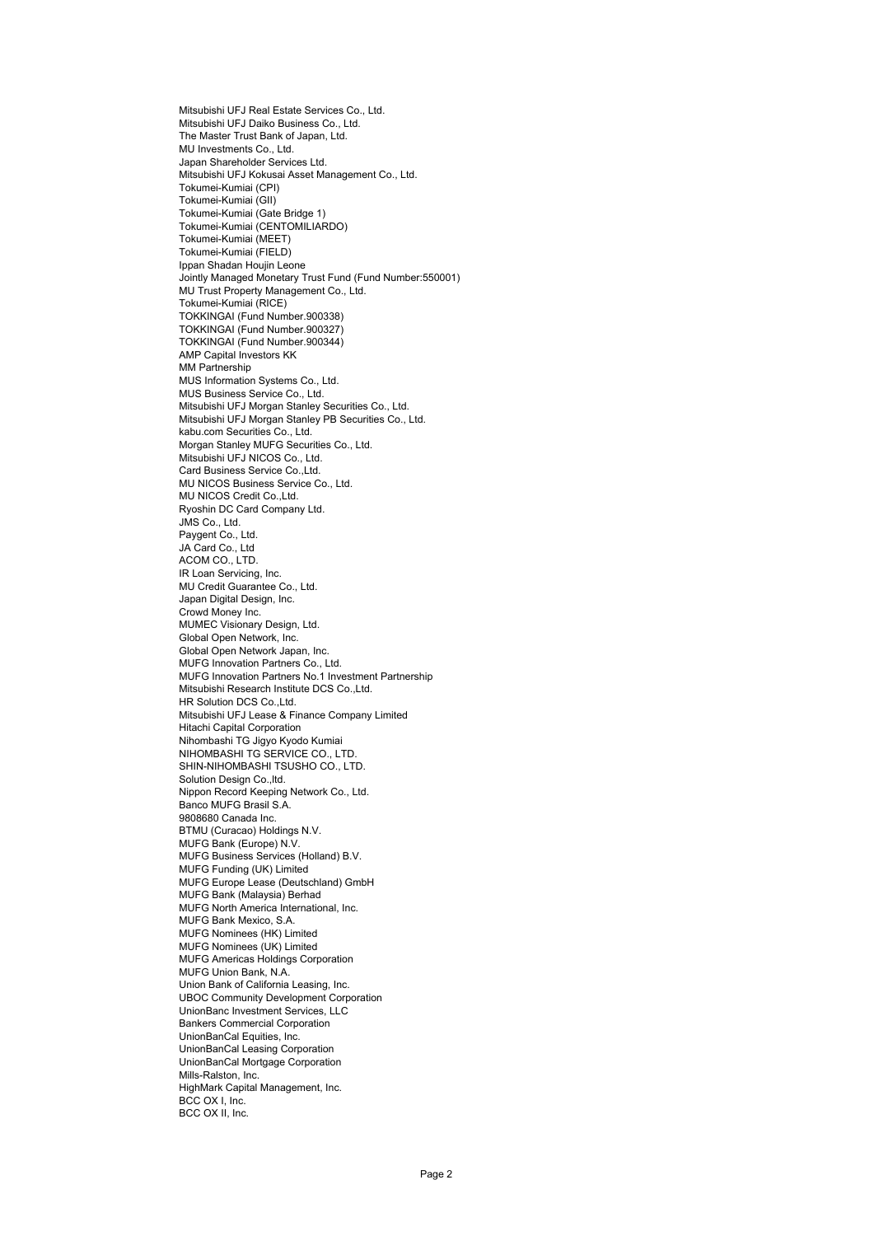Mitsubishi UFJ Real Estate Services Co., Ltd. Mitsubishi UFJ Daiko Business Co., Ltd. The Master Trust Bank of Japan, Ltd. MU Investments Co., Ltd. Japan Shareholder Services Ltd. Mitsubishi UFJ Kokusai Asset Management Co., Ltd. Tokumei-Kumiai (CPI) Tokumei-Kumiai (GII) Tokumei-Kumiai (Gate Bridge 1) Tokumei-Kumiai (CENTOMILIARDO) Tokumei-Kumiai (MEET) Tokumei-Kumiai (FIELD) Ippan Shadan Houjin Leone Jointly Managed Monetary Trust Fund (Fund Number:550001) MU Trust Property Management Co., Ltd. Tokumei-Kumiai (RICE) TOKKINGAI (Fund Number.900338) TOKKINGAI (Fund Number.900327) TOKKINGAI (Fund Number.900344) AMP Capital Investors KK MM Partnership MUS Information Systems Co., Ltd. MUS Business Service Co., Ltd. Mitsubishi UFJ Morgan Stanley Securities Co., Ltd. Mitsubishi UFJ Morgan Stanley PB Securities Co., Ltd. kabu.com Securities Co., Ltd. Morgan Stanley MUFG Securities Co., Ltd. Mitsubishi UFJ NICOS Co., Ltd. Card Business Service Co.,Ltd. MU NICOS Business Service Co., Ltd. MU NICOS Credit Co., Ltd. Ryoshin DC Card Company Ltd. JMS Co., Ltd. Paygent Co., Ltd. JA Card Co., Ltd ACOM CO., LTD. IR Loan Servicing, Inc. MU Credit Guarantee Co., Ltd. Japan Digital Design, Inc. Crowd Money Inc. MUMEC Visionary Design, Ltd. Global Open Network, Inc. Global Open Network Japan, Inc. MUFG Innovation Partners Co., Ltd. MUFG Innovation Partners No.1 Investment Partnership Mitsubishi Research Institute DCS Co.,Ltd. HR Solution DCS Co., Ltd. Mitsubishi UFJ Lease & Finance Company Limited Hitachi Capital Corporation Nihombashi TG Jigyo Kyodo Kumiai NIHOMBASHI TG SERVICE CO., LTD. SHIN-NIHOMBASHI TSUSHO CO., LTD. Solution Design Co., Itd. Nippon Record Keeping Network Co., Ltd. Banco MUFG Brasil S.A. 9808680 Canada Inc. BTMU (Curacao) Holdings N.V. MUFG Bank (Europe) N.V. MUFG Business Services (Holland) B.V. MUFG Funding (UK) Limited MUFG Europe Lease (Deutschland) GmbH MUFG Bank (Malaysia) Berhad MUFG North America International, Inc. MUFG Bank Mexico, S.A. MUFG Nominees (HK) Limited MUFG Nominees (UK) Limited MUFG Americas Holdings Corporation MUFG Union Bank, N.A. Union Bank of California Leasing, Inc. UBOC Community Development Corporation UnionBanc Investment Services, LLC Bankers Commercial Corporation UnionBanCal Equities, Inc. UnionBanCal Leasing Corporation UnionBanCal Mortgage Corporation Mills-Ralston, Inc. HighMark Capital Management, Inc. BCC OX I, Inc. BCC OX II, Inc.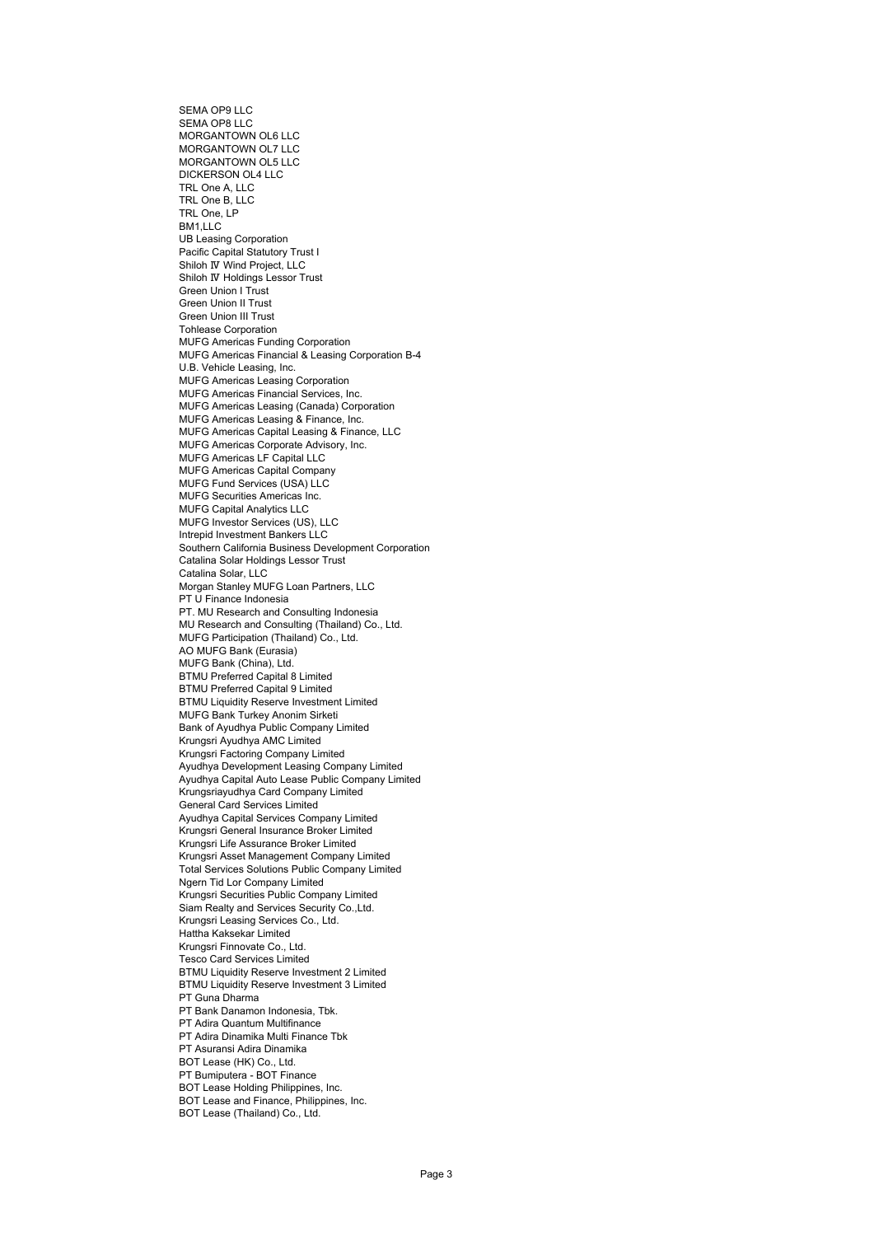SEMA OP9 LLC SEMA OP8 LLC MORGANTOWN OL6 LLC MORGANTOWN OL7 LLC MORGANTOWN OL5 LLC DICKERSON OL4 LLC TRL One A, LLC TRL One B, LLC TRL One, LP BM1,LLC UB Leasing Corporation Pacific Capital Statutory Trust I Shiloh Ⅳ Wind Project, LLC Shiloh Ⅳ Holdings Lessor Trust Green Union I Trust Green Union II Trust Green Union III Trust Tohlease Corporation MUFG Americas Funding Corporation MUFG Americas Financial & Leasing Corporation B-4 U.B. Vehicle Leasing, Inc. MUFG Americas Leasing Corporation MUFG Americas Financial Services, Inc. MUFG Americas Leasing (Canada) Corporation MUFG Americas Leasing & Finance, Inc. MUFG Americas Capital Leasing & Finance, LLC MUFG Americas Corporate Advisory, Inc. MUFG Americas LF Capital LLC MUFG Americas Capital Company MUFG Fund Services (USA) LLC MUFG Securities Americas Inc. MUFG Capital Analytics LLC MUFG Investor Services (US), LLC Intrepid Investment Bankers LLC Southern California Business Development Corporation Catalina Solar Holdings Lessor Trust Catalina Solar, LLC Morgan Stanley MUFG Loan Partners, LLC PT U Finance Indonesia PT. MU Research and Consulting Indonesia MU Research and Consulting (Thailand) Co., Ltd. MUFG Participation (Thailand) Co., Ltd. AO MUFG Bank (Eurasia) MUFG Bank (China), Ltd. BTMU Preferred Capital 8 Limited BTMU Preferred Capital 9 Limited BTMU Liquidity Reserve Investment Limited MUFG Bank Turkey Anonim Sirketi Bank of Ayudhya Public Company Limited Krungsri Ayudhya AMC Limited Krungsri Factoring Company Limited Ayudhya Development Leasing Company Limited Ayudhya Capital Auto Lease Public Company Limited Krungsriayudhya Card Company Limited General Card Services Limited Ayudhya Capital Services Company Limited Krungsri General Insurance Broker Limited Krungsri Life Assurance Broker Limited Krungsri Asset Management Company Limited Total Services Solutions Public Company Limited Ngern Tid Lor Company Limited Krungsri Securities Public Company Limited Siam Realty and Services Security Co.,Ltd. Krungsri Leasing Services Co., Ltd. Hattha Kaksekar Limited Krungsri Finnovate Co., Ltd. Tesco Card Services Limited BTMU Liquidity Reserve Investment 2 Limited BTMU Liquidity Reserve Investment 3 Limited PT Guna Dharma PT Bank Danamon Indonesia, Tbk. PT Adira Quantum Multifinance PT Adira Dinamika Multi Finance Tbk PT Asuransi Adira Dinamika BOT Lease (HK) Co., Ltd. PT Bumiputera - BOT Finance BOT Lease Holding Philippines, Inc. BOT Lease and Finance, Philippines, Inc. BOT Lease (Thailand) Co., Ltd.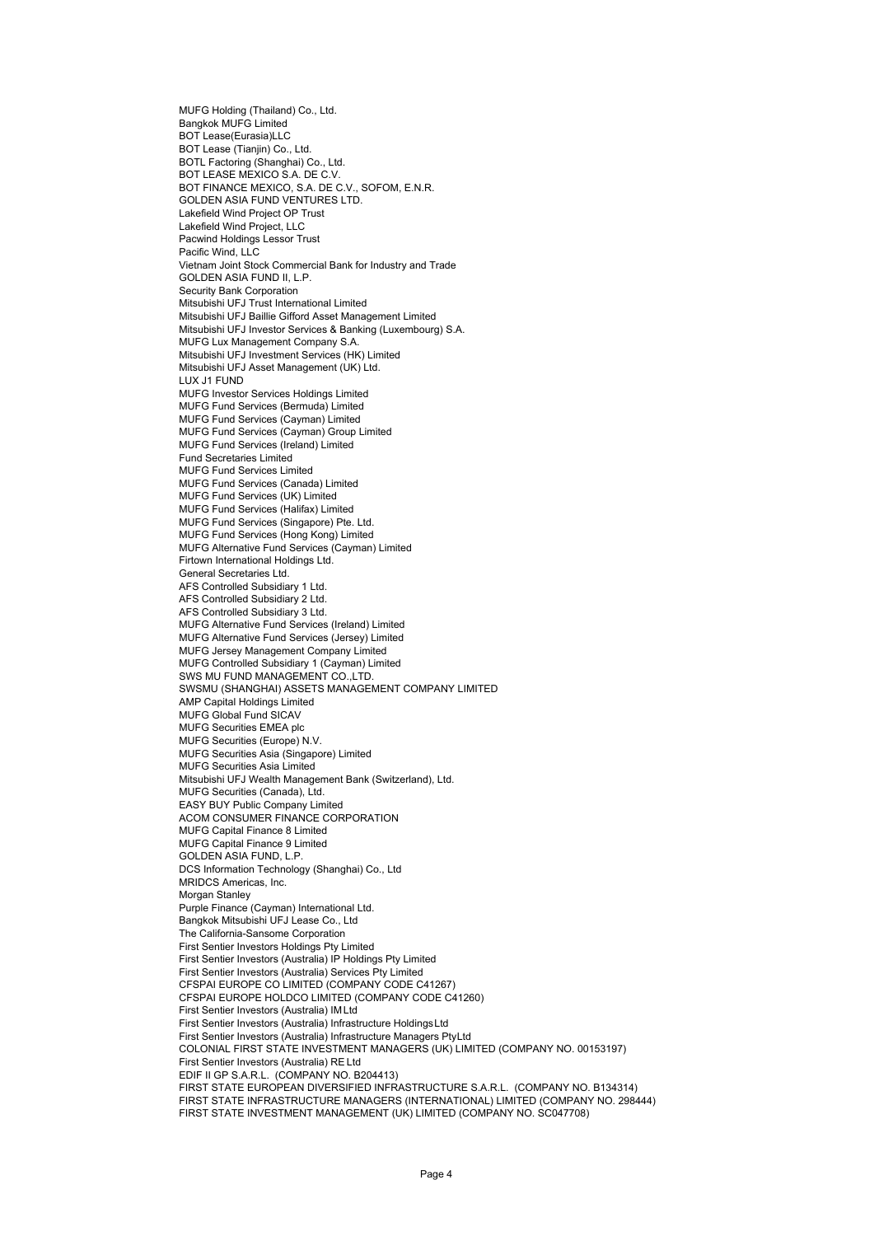MUFG Holding (Thailand) Co., Ltd. Bangkok MUFG Limited BOT Lease(Eurasia)LLC BOT Lease (Tianjin) Co., Ltd. BOTL Factoring (Shanghai) Co., Ltd. BOT LEASE MEXICO S.A. DE C.V. BOT FINANCE MEXICO, S.A. DE C.V., SOFOM, E.N.R. GOLDEN ASIA FUND VENTURES LTD. Lakefield Wind Project OP Trust Lakefield Wind Project, LLC Pacwind Holdings Lessor Trust Pacific Wind, LLC Vietnam Joint Stock Commercial Bank for Industry and Trade GOLDEN ASIA FUND II, L.P. Security Bank Corporation Mitsubishi UFJ Trust International Limited Mitsubishi UFJ Baillie Gifford Asset Management Limited Mitsubishi UFJ Investor Services & Banking (Luxembourg) S.A. MUFG Lux Management Company S.A. Mitsubishi UFJ Investment Services (HK) Limited Mitsubishi UFJ Asset Management (UK) Ltd. LUX J1 FUND MUFG Investor Services Holdings Limited MUFG Fund Services (Bermuda) Limited MUFG Fund Services (Cayman) Limited MUFG Fund Services (Cayman) Group Limited MUFG Fund Services (Ireland) Limited Fund Secretaries Limited MUFG Fund Services Limited MUFG Fund Services (Canada) Limited MUFG Fund Services (UK) Limited MUFG Fund Services (Halifax) Limited MUFG Fund Services (Singapore) Pte. Ltd. MUFG Fund Services (Hong Kong) Limited MUFG Alternative Fund Services (Cayman) Limited Firtown International Holdings Ltd. General Secretaries Ltd. AFS Controlled Subsidiary 1 Ltd. AFS Controlled Subsidiary 2 Ltd. AFS Controlled Subsidiary 3 Ltd. MUFG Alternative Fund Services (Ireland) Limited MUFG Alternative Fund Services (Jersey) Limited MUFG Jersey Management Company Limited MUFG Controlled Subsidiary 1 (Cayman) Limited SWS MU FUND MANAGEMENT CO.,LTD. SWSMU (SHANGHAI) ASSETS MANAGEMENT COMPANY LIMITED AMP Capital Holdings Limited MUFG Global Fund SICAV MUFG Securities EMEA plc MUFG Securities (Europe) N.V. MUFG Securities Asia (Singapore) Limited MUFG Securities Asia Limited Mitsubishi UFJ Wealth Management Bank (Switzerland), Ltd. MUFG Securities (Canada), Ltd. EASY BUY Public Company Limited ACOM CONSUMER FINANCE CORPORATION MUFG Capital Finance 8 Limited MUFG Capital Finance 9 Limited GOLDEN ASIA FUND, L.P. DCS Information Technology (Shanghai) Co., Ltd MRIDCS Americas, Inc. Morgan Stanley Purple Finance (Cayman) International Ltd. Bangkok Mitsubishi UFJ Lease Co., Ltd The California-Sansome Corporation First Sentier Investors Holdings Pty Limited First Sentier Investors (Australia) IP Holdings Pty Limited First Sentier Investors (Australia) Services Pty Limited CFSPAI EUROPE CO LIMITED (COMPANY CODE C41267) CFSPAI EUROPE HOLDCO LIMITED (COMPANY CODE C41260) First Sentier Investors (Australia) IM Ltd First Sentier Investors (Australia) Infrastructure Holdings Ltd First Sentier Investors (Australia) Infrastructure Managers PtyLtd COLONIAL FIRST STATE INVESTMENT MANAGERS (UK) LIMITED (COMPANY NO. 00153197) First Sentier Investors (Australia) RE Ltd EDIF II GP S.A.R.L. (COMPANY NO. B204413) FIRST STATE EUROPEAN DIVERSIFIED INFRASTRUCTURE S.A.R.L. (COMPANY NO. B134314) FIRST STATE INFRASTRUCTURE MANAGERS (INTERNATIONAL) LIMITED (COMPANY NO. 298444) FIRST STATE INVESTMENT MANAGEMENT (UK) LIMITED (COMPANY NO. SC047708)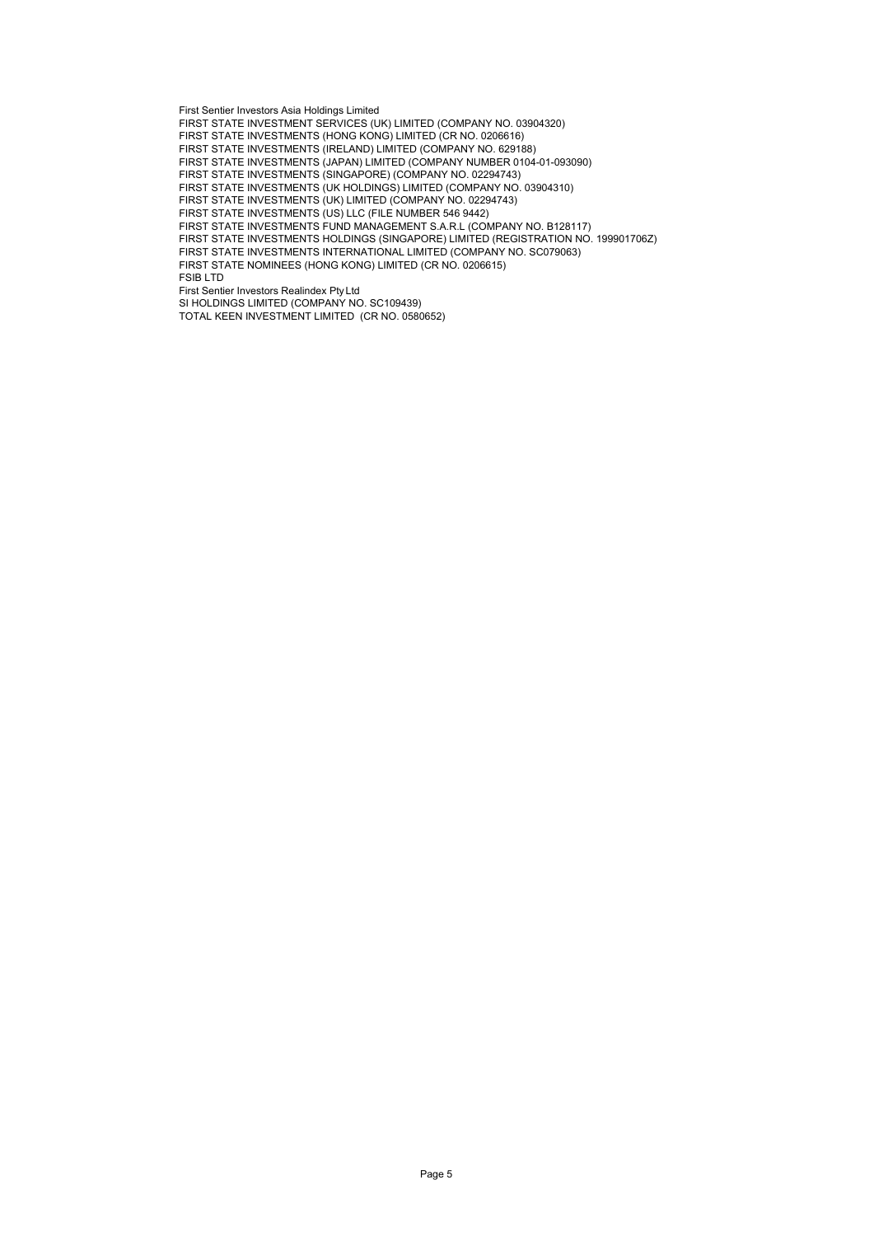First Sentier Investors Asia Holdings Limited

FIRST STATE INVESTMENT SERVICES (UK) LIMITED (COMPANY NO. 03904320)

FIRST STATE INVESTMENTS (HONG KONG) LIMITED (CR NO. 0206616)

FIRST STATE INVESTMENTS (IRELAND) LIMITED (COMPANY NO. 629188)

FIRST STATE INVESTMENTS (JAPAN) LIMITED (COMPANY NUMBER 0104-01-093090)

FIRST STATE INVESTMENTS (SINGAPORE) (COMPANY NO. 02294743)

FIRST STATE INVESTMENTS (UK HOLDINGS) LIMITED (COMPANY NO. 03904310)

FIRST STATE INVESTMENTS (UK) LIMITED (COMPANY NO. 02294743) FIRST STATE INVESTMENTS (US) LLC (FILE NUMBER 546 9442)

FIRST STATE INVESTMENTS FUND MANAGEMENT S.A.R.L (COMPANY NO. B128117)

FIRST STATE INVESTMENTS HOLDINGS (SINGAPORE) LIMITED (REGISTRATION NO. 199901706Z)

FIRST STATE INVESTMENTS INTERNATIONAL LIMITED (COMPANY NO. SC079063)

FIRST STATE NOMINEES (HONG KONG) LIMITED (CR NO. 0206615)

FSIB LTD

First Sentier Investors Realindex Pty Ltd

SI HOLDINGS LIMITED (COMPANY NO. SC109439) TOTAL KEEN INVESTMENT LIMITED (CR NO. 0580652)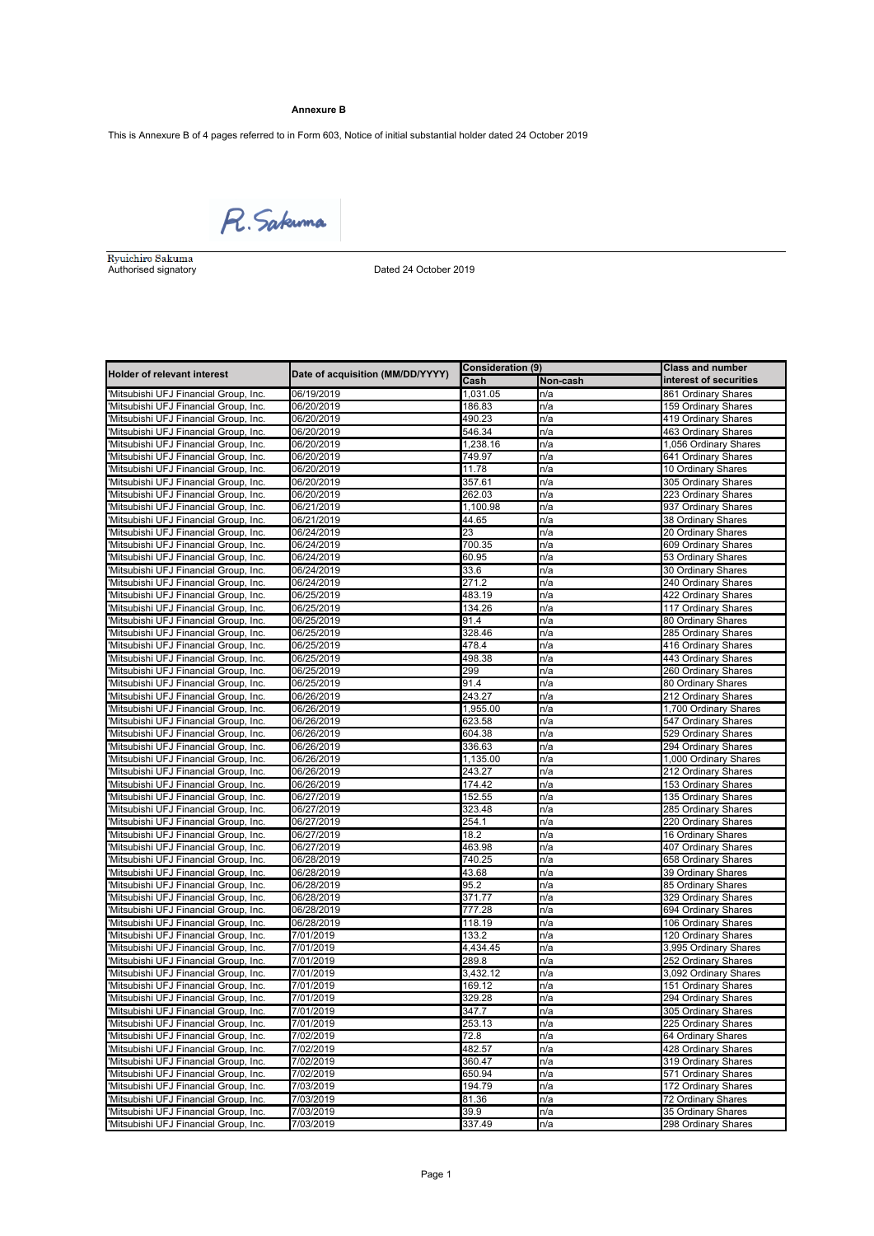# **Annexure B**

This is Annexure B of 4 pages referred to in Form 603, Notice of initial substantial holder dated 24 October 2019

R. Sakuma

Authorised signatory Dated 24 October 2019

|                                                                                |                                  | <b>Consideration (9)</b> |            | <b>Class and number</b>                   |  |
|--------------------------------------------------------------------------------|----------------------------------|--------------------------|------------|-------------------------------------------|--|
| <b>Holder of relevant interest</b>                                             | Date of acquisition (MM/DD/YYYY) | Cash                     | Non-cash   | interest of securities                    |  |
| 'Mitsubishi UFJ Financial Group, Inc.                                          | 06/19/2019                       | 1,031.05                 | n/a        | 861 Ordinary Shares                       |  |
| 'Mitsubishi UFJ Financial Group, Inc.                                          | 06/20/2019                       | 186.83                   | n/a        | 159 Ordinary Shares                       |  |
| 'Mitsubishi UFJ Financial Group, Inc.                                          | 06/20/2019                       | 490.23                   | n/a        | 419 Ordinary Shares                       |  |
| 'Mitsubishi UFJ Financial Group, Inc.                                          | 06/20/2019                       | 546.34                   | n/a        | 463 Ordinary Shares                       |  |
| 'Mitsubishi UFJ Financial Group, Inc.                                          | 06/20/2019                       | 1,238.16                 | n/a        | 1,056 Ordinary Shares                     |  |
| 'Mitsubishi UFJ Financial Group, Inc.                                          | 06/20/2019                       | 749.97                   | n/a        | 641 Ordinary Shares                       |  |
| 'Mitsubishi UFJ Financial Group, Inc.                                          | 06/20/2019                       | 11.78                    | n/a        | 10 Ordinary Shares                        |  |
| 'Mitsubishi UFJ Financial Group, Inc.                                          | 06/20/2019                       | 357.61                   | n/a        | 305 Ordinary Shares                       |  |
| 'Mitsubishi UFJ Financial Group, Inc.                                          | 06/20/2019                       | 262.03                   | n/a        | 223 Ordinary Shares                       |  |
| 'Mitsubishi UFJ Financial Group, Inc.                                          | 06/21/2019                       | 1,100.98                 | n/a        | 937 Ordinary Shares                       |  |
| 'Mitsubishi UFJ Financial Group, Inc.                                          | 06/21/2019                       | 44.65                    | n/a        | 38 Ordinary Shares                        |  |
| 'Mitsubishi UFJ Financial Group, Inc.                                          | 06/24/2019                       | 23                       | n/a        | 20 Ordinary Shares                        |  |
| 'Mitsubishi UFJ Financial Group, Inc.                                          | 06/24/2019                       | 700.35                   | n/a        | 609 Ordinary Shares                       |  |
| 'Mitsubishi UFJ Financial Group, Inc.                                          | 06/24/2019                       | 60.95                    | n/a        | 53 Ordinary Shares                        |  |
| 'Mitsubishi UFJ Financial Group, Inc.                                          | 06/24/2019                       | 33.6                     | n/a        | 30 Ordinary Shares                        |  |
| 'Mitsubishi UFJ Financial Group, Inc.                                          | 06/24/2019                       | 271.2                    | n/a        | 240 Ordinary Shares                       |  |
| 'Mitsubishi UFJ Financial Group, Inc.                                          | 06/25/2019                       | 483.19                   | n/a        | 422 Ordinary Shares                       |  |
| 'Mitsubishi UFJ Financial Group, Inc.                                          | 06/25/2019                       | 134.26                   | n/a        | 117 Ordinary Shares                       |  |
| 'Mitsubishi UFJ Financial Group, Inc.                                          | 06/25/2019                       | 91.4                     | n/a        | 80 Ordinary Shares                        |  |
| 'Mitsubishi UFJ Financial Group, Inc.                                          | 06/25/2019                       | 328.46                   | n/a        | 285 Ordinary Shares                       |  |
| 'Mitsubishi UFJ Financial Group, Inc.                                          | 06/25/2019                       | 478.4                    | n/a        | 416 Ordinary Shares                       |  |
| 'Mitsubishi UFJ Financial Group, Inc.                                          | 06/25/2019                       | 498.38                   | n/a        | 443 Ordinary Shares                       |  |
| 'Mitsubishi UFJ Financial Group, Inc.                                          | 06/25/2019                       | 299                      | n/a        | 260 Ordinary Shares                       |  |
| 'Mitsubishi UFJ Financial Group, Inc.                                          | 06/25/2019                       | 91.4                     | n/a        | 80 Ordinary Shares                        |  |
| Mitsubishi UFJ Financial Group, Inc.                                           | 06/26/2019                       | 243.27                   | n/a        | 212 Ordinary Shares                       |  |
| 'Mitsubishi UFJ Financial Group, Inc.                                          | 06/26/2019                       | 1,955.00                 | n/a        | 1,700 Ordinary Shares                     |  |
| 'Mitsubishi UFJ Financial Group, Inc.                                          | 06/26/2019                       | 623.58                   | n/a        | 547 Ordinary Shares                       |  |
| 'Mitsubishi UFJ Financial Group, Inc.                                          | 06/26/2019                       | 604.38                   | n/a        | 529 Ordinary Shares                       |  |
| 'Mitsubishi UFJ Financial Group, Inc.                                          | 06/26/2019                       | 336.63                   | n/a        | 294 Ordinary Shares                       |  |
| 'Mitsubishi UFJ Financial Group, Inc.                                          | 06/26/2019                       | 1,135.00                 | n/a        | 1,000 Ordinary Shares                     |  |
| 'Mitsubishi UFJ Financial Group, Inc.                                          | 06/26/2019                       | 243.27                   | n/a        | 212 Ordinary Shares                       |  |
| 'Mitsubishi UFJ Financial Group, Inc.                                          | 06/26/2019                       | 174.42                   | n/a        | 153 Ordinary Shares                       |  |
| 'Mitsubishi UFJ Financial Group, Inc.                                          | 06/27/2019                       | 152.55                   | n/a        | 135 Ordinary Shares                       |  |
| 'Mitsubishi UFJ Financial Group, Inc.                                          | 06/27/2019                       | 323.48                   | n/a        | 285 Ordinary Shares                       |  |
| 'Mitsubishi UFJ Financial Group, Inc.                                          | 06/27/2019                       | 254.1                    | n/a        | 220 Ordinary Shares                       |  |
| 'Mitsubishi UFJ Financial Group, Inc.                                          | 06/27/2019                       | 18.2                     | n/a        | 16 Ordinary Shares                        |  |
| Mitsubishi UFJ Financial Group, Inc.                                           | 06/27/2019                       | 463.98                   | n/a        | 407 Ordinary Shares                       |  |
| 'Mitsubishi UFJ Financial Group, Inc.                                          | 06/28/2019                       | 740.25                   | n/a        | 658 Ordinary Shares                       |  |
| 'Mitsubishi UFJ Financial Group, Inc.<br>Mitsubishi UFJ Financial Group, Inc.  | 06/28/2019                       | 43.68<br>95.2            | n/a<br>n/a | 39 Ordinary Shares                        |  |
|                                                                                | 06/28/2019                       | 371.77                   | n/a        | 85 Ordinary Shares<br>329 Ordinary Shares |  |
| 'Mitsubishi UFJ Financial Group, Inc.<br>'Mitsubishi UFJ Financial Group, Inc. | 06/28/2019<br>06/28/2019         | 777.28                   | n/a        | 694 Ordinary Shares                       |  |
| 'Mitsubishi UFJ Financial Group, Inc.                                          | 06/28/2019                       | 118.19                   | n/a        | 106 Ordinary Shares                       |  |
| 'Mitsubishi UFJ Financial Group, Inc.                                          | 7/01/2019                        | 133.2                    | n/a        | 120 Ordinary Shares                       |  |
| 'Mitsubishi UFJ Financial Group, Inc.                                          | 7/01/2019                        | 4.434.45                 | n/a        | 3,995 Ordinary Shares                     |  |
| 'Mitsubishi UFJ Financial Group, Inc.                                          | 7/01/2019                        | 289.8                    | n/a        | 252 Ordinary Shares                       |  |
| Mitsubishi UFJ Financial Group, Inc.                                           | 7/01/2019                        | 3,432.12                 | n/a        | 3,092 Ordinary Shares                     |  |
| 'Mitsubishi UFJ Financial Group, Inc.                                          | 7/01/2019                        | 169.12                   | n/a        | 151 Ordinary Shares                       |  |
| 'Mitsubishi UFJ Financial Group, Inc.                                          | 7/01/2019                        | 329.28                   | n/a        | 294 Ordinary Shares                       |  |
| 'Mitsubishi UFJ Financial Group, Inc.                                          | 7/01/2019                        | 347.7                    | n/a        | 305 Ordinary Shares                       |  |
| 'Mitsubishi UFJ Financial Group, Inc.                                          | 7/01/2019                        | 253.13                   | n/a        | 225 Ordinary Shares                       |  |
| 'Mitsubishi UFJ Financial Group, Inc.                                          | 7/02/2019                        | 72.8                     | n/a        | 64 Ordinary Shares                        |  |
| 'Mitsubishi UFJ Financial Group, Inc.                                          | 7/02/2019                        | 482.57                   | n/a        | 428 Ordinary Shares                       |  |
| 'Mitsubishi UFJ Financial Group, Inc.                                          | 7/02/2019                        | 360.47                   | n/a        | 319 Ordinary Shares                       |  |
| 'Mitsubishi UFJ Financial Group, Inc.                                          | 7/02/2019                        | 650.94                   | n/a        | 571 Ordinary Shares                       |  |
| 'Mitsubishi UFJ Financial Group, Inc.                                          | 7/03/2019                        | 194.79                   | n/a        | 172 Ordinary Shares                       |  |
| 'Mitsubishi UFJ Financial Group, Inc.                                          | 7/03/2019                        | 81.36                    | n/a        | 72 Ordinary Shares                        |  |
| 'Mitsubishi UFJ Financial Group, Inc.                                          | 7/03/2019                        | 39.9                     | n/a        | 35 Ordinary Shares                        |  |
| 'Mitsubishi UFJ Financial Group, Inc.                                          | 7/03/2019                        | 337.49                   | n/a        | 298 Ordinary Shares                       |  |
|                                                                                |                                  |                          |            |                                           |  |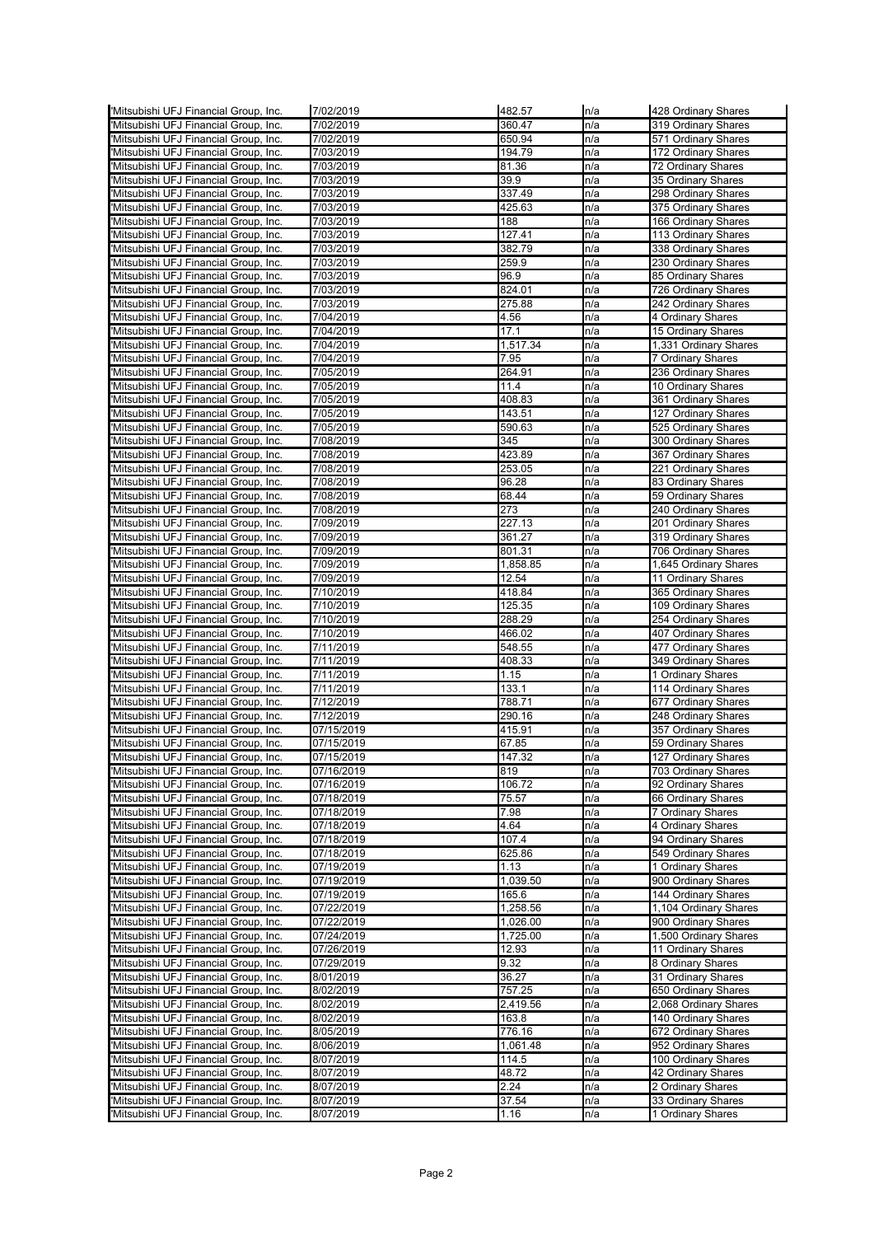| 'Mitsubishi UFJ Financial Group, Inc. | 7/02/2019  | 482.57   | n/a | 428 Ordinary Shares                        |
|---------------------------------------|------------|----------|-----|--------------------------------------------|
| 'Mitsubishi UFJ Financial Group, Inc. | 7/02/2019  | 360.47   | n/a | 319 Ordinary Shares                        |
| Mitsubishi UFJ Financial Group, Inc.  | 7/02/2019  | 650.94   | n/a | 571 Ordinary Shares                        |
| Mitsubishi UFJ Financial Group, Inc.  | 7/03/2019  | 194.79   | n/a | 172 Ordinary Shares                        |
| Mitsubishi UFJ Financial Group, Inc.  | 7/03/2019  | 81.36    | n/a | 72 Ordinary Shares                         |
| Mitsubishi UFJ Financial Group, Inc.  | 7/03/2019  | 39.9     | n/a | 35 Ordinary Shares                         |
| 'Mitsubishi UFJ Financial Group, Inc. | 7/03/2019  | 337.49   | n/a | 298 Ordinary Shares                        |
| 'Mitsubishi UFJ Financial Group, Inc. | 7/03/2019  | 425.63   | n/a | 375 Ordinary Shares                        |
| 'Mitsubishi UFJ Financial Group, Inc. | 7/03/2019  | 188      | n/a | 166 Ordinary Shares                        |
| Mitsubishi UFJ Financial Group, Inc.  | 7/03/2019  | 127.41   | n/a | 113 Ordinary Shares                        |
| Mitsubishi UFJ Financial Group, Inc.  | 7/03/2019  | 382.79   | n/a | 338 Ordinary Shares                        |
| Mitsubishi UFJ Financial Group, Inc.  | 7/03/2019  | 259.9    | n/a | 230 Ordinary Shares                        |
| Mitsubishi UFJ Financial Group, Inc.  | 7/03/2019  | 96.9     | n/a | 85 Ordinary Shares                         |
| Mitsubishi UFJ Financial Group, Inc.  | 7/03/2019  | 824.01   | n/a | 726 Ordinary Shares                        |
| Mitsubishi UFJ Financial Group, Inc.  | 7/03/2019  | 275.88   | n/a | 242 Ordinary Shares                        |
| 'Mitsubishi UFJ Financial Group, Inc. | 7/04/2019  | 4.56     | n/a | 4 Ordinary Shares                          |
| Mitsubishi UFJ Financial Group, Inc.  | 7/04/2019  | 17.1     | n/a | 15 Ordinary Shares                         |
| Mitsubishi UFJ Financial Group, Inc.  | 7/04/2019  | 1,517.34 | n/a | 1,331 Ordinary Shares                      |
| Mitsubishi UFJ Financial Group, Inc.  | 7/04/2019  | 7.95     | n/a | 7 Ordinary Shares                          |
| Mitsubishi UFJ Financial Group, Inc.  | 7/05/2019  | 264.91   | n/a | 236 Ordinary Shares                        |
| Mitsubishi UFJ Financial Group, Inc.  | 7/05/2019  | 11.4     | n/a | 10 Ordinary Shares                         |
| Mitsubishi UFJ Financial Group, Inc.  | 7/05/2019  | 408.83   | n/a | 361 Ordinary Shares                        |
| Mitsubishi UFJ Financial Group, Inc.  | 7/05/2019  | 143.51   | n/a |                                            |
| Mitsubishi UFJ Financial Group, Inc.  | 7/05/2019  | 590.63   |     | 127 Ordinary Shares<br>525 Ordinary Shares |
|                                       |            |          | n/a |                                            |
| Mitsubishi UFJ Financial Group, Inc.  | 7/08/2019  | 345      | n/a | 300 Ordinary Shares                        |
| 'Mitsubishi UFJ Financial Group, Inc. | 7/08/2019  | 423.89   | n/a | 367 Ordinary Shares                        |
| 'Mitsubishi UFJ Financial Group, Inc. | 7/08/2019  | 253.05   | n/a | 221 Ordinary Shares                        |
| Mitsubishi UFJ Financial Group, Inc.  | 7/08/2019  | 96.28    | n/a | 83 Ordinary Shares                         |
| Mitsubishi UFJ Financial Group, Inc.  | 7/08/2019  | 68.44    | n/a | 59 Ordinary Shares                         |
| Mitsubishi UFJ Financial Group, Inc.  | 7/08/2019  | 273      | n/a | 240 Ordinary Shares                        |
| 'Mitsubishi UFJ Financial Group, Inc. | 7/09/2019  | 227.13   | n/a | 201 Ordinary Shares                        |
| 'Mitsubishi UFJ Financial Group, Inc. | 7/09/2019  | 361.27   | n/a | 319 Ordinary Shares                        |
| Mitsubishi UFJ Financial Group, Inc.  | 7/09/2019  | 801.31   | n/a | 706 Ordinary Shares                        |
| 'Mitsubishi UFJ Financial Group, Inc. | 7/09/2019  | 1,858.85 | n/a | 1,645 Ordinary Shares                      |
| Mitsubishi UFJ Financial Group, Inc.  | 7/09/2019  | 12.54    | n/a | 11 Ordinary Shares                         |
| Mitsubishi UFJ Financial Group, Inc.  | 7/10/2019  | 418.84   | n/a | 365 Ordinary Shares                        |
| Mitsubishi UFJ Financial Group, Inc.  | 7/10/2019  | 125.35   | n/a | 109 Ordinary Shares                        |
| Mitsubishi UFJ Financial Group, Inc.  | 7/10/2019  | 288.29   | n/a | 254 Ordinary Shares                        |
| Mitsubishi UFJ Financial Group, Inc.  | 7/10/2019  | 466.02   | n/a | 407 Ordinary Shares                        |
| Mitsubishi UFJ Financial Group, Inc.  | 7/11/2019  | 548.55   | n/a | 477 Ordinary Shares                        |
| 'Mitsubishi UFJ Financial Group, Inc. | 7/11/2019  | 408.33   | n/a | 349 Ordinary Shares                        |
| 'Mitsubishi UFJ Financial Group, Inc. | 7/11/2019  | 1.15     | n/a | 1 Ordinary Shares                          |
| 'Mitsubishi UFJ Financial Group, Inc. | 7/11/2019  | 133.1    | n/a | 114 Ordinary Shares                        |
| Mitsubishi UFJ Financial Group, Inc.  | 7/12/2019  | 788.71   | n/a | 677 Ordinary Shares                        |
| Mitsubishi UFJ Financial Group, Inc.  | 7/12/2019  | 290.16   | n/a | 248 Ordinary Shares                        |
| Mitsubishi UFJ Financial Group, Inc.  | 07/15/2019 | 415.91   | n/a | 357 Ordinary Shares                        |
| Mitsubishi UFJ Financial Group, Inc.  | 07/15/2019 | 67.85    | n/a | 59 Ordinary Shares                         |
| Mitsubishi UFJ Financial Group, Inc.  | 07/15/2019 | 147.32   | n/a | 127 Ordinary Shares                        |
| 'Mitsubishi UFJ Financial Group, Inc. | 07/16/2019 | 819      | n/a | 703 Ordinary Shares                        |
| 'Mitsubishi UFJ Financial Group, Inc. | 07/16/2019 | 106.72   | n/a | 92 Ordinary Shares                         |
| 'Mitsubishi UFJ Financial Group, Inc. | 07/18/2019 | 75.57    | n/a | 66 Ordinary Shares                         |
| 'Mitsubishi UFJ Financial Group, Inc. | 07/18/2019 | 7.98     | n/a | 7 Ordinary Shares                          |
| 'Mitsubishi UFJ Financial Group, Inc. | 07/18/2019 | 4.64     | n/a | 4 Ordinary Shares                          |
| Mitsubishi UFJ Financial Group, Inc.  | 07/18/2019 | 107.4    | n/a | 94 Ordinary Shares                         |
| Mitsubishi UFJ Financial Group, Inc.  | 07/18/2019 | 625.86   | n/a | 549 Ordinary Shares                        |
| 'Mitsubishi UFJ Financial Group, Inc. | 07/19/2019 | 1.13     | n/a | 1 Ordinary Shares                          |
| 'Mitsubishi UFJ Financial Group, Inc. | 07/19/2019 | 1,039.50 | n/a | 900 Ordinary Shares                        |
| 'Mitsubishi UFJ Financial Group, Inc. | 07/19/2019 | 165.6    | n/a | 144 Ordinary Shares                        |
| 'Mitsubishi UFJ Financial Group, Inc. | 07/22/2019 | 1,258.56 | n/a | 1,104 Ordinary Shares                      |
| 'Mitsubishi UFJ Financial Group, Inc. | 07/22/2019 | 1,026.00 | n/a | 900 Ordinary Shares                        |
| Mitsubishi UFJ Financial Group, Inc.  | 07/24/2019 | 1,725.00 | n/a | 1,500 Ordinary Shares                      |
| Mitsubishi UFJ Financial Group, Inc.  | 07/26/2019 | 12.93    | n/a | 11 Ordinary Shares                         |
| Mitsubishi UFJ Financial Group, Inc.  | 07/29/2019 | 9.32     | n/a | 8 Ordinary Shares                          |
| Mitsubishi UFJ Financial Group, Inc.  | 8/01/2019  | 36.27    | n/a | 31 Ordinary Shares                         |
| 'Mitsubishi UFJ Financial Group, Inc. | 8/02/2019  | 757.25   | n/a | 650 Ordinary Shares                        |
| 'Mitsubishi UFJ Financial Group, Inc. | 8/02/2019  | 2,419.56 | n/a | 2,068 Ordinary Shares                      |
| 'Mitsubishi UFJ Financial Group, Inc. | 8/02/2019  | 163.8    | n/a | 140 Ordinary Shares                        |
| 'Mitsubishi UFJ Financial Group, Inc. | 8/05/2019  | 776.16   | n/a | 672 Ordinary Shares                        |
| Mitsubishi UFJ Financial Group, Inc.  | 8/06/2019  | 1,061.48 | n/a | 952 Ordinary Shares                        |
| Mitsubishi UFJ Financial Group, Inc.  | 8/07/2019  | 114.5    | n/a | 100 Ordinary Shares                        |
| Mitsubishi UFJ Financial Group, Inc.  | 8/07/2019  | 48.72    | n/a | 42 Ordinary Shares                         |
| 'Mitsubishi UFJ Financial Group, Inc. | 8/07/2019  | 2.24     | n/a | 2 Ordinary Shares                          |
| 'Mitsubishi UFJ Financial Group, Inc. | 8/07/2019  | 37.54    | n/a | 33 Ordinary Shares                         |
| 'Mitsubishi UFJ Financial Group, Inc. | 8/07/2019  | 1.16     | n/a | 1 Ordinary Shares                          |
|                                       |            |          |     |                                            |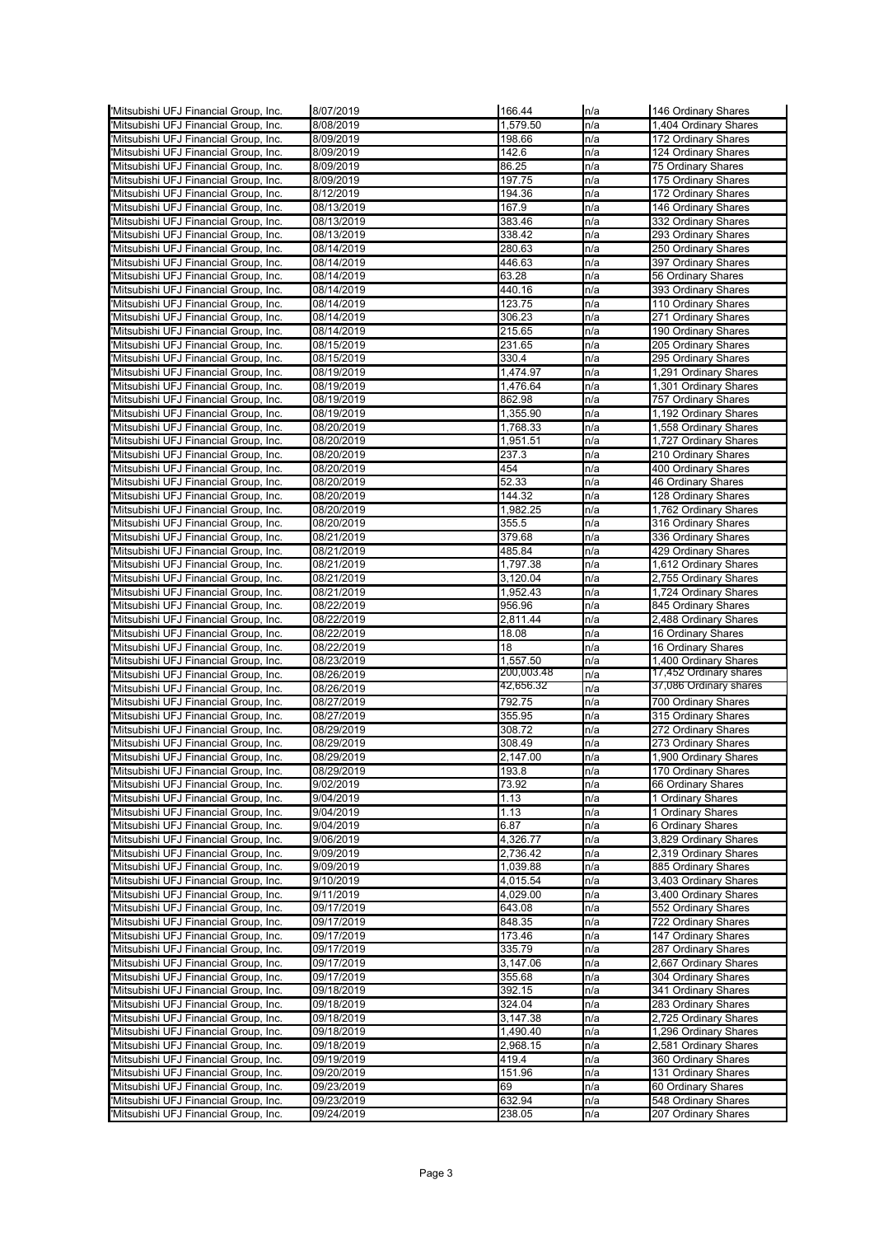|                                       | 8/07/2019  | 166.44     | n/a | 146 Ordinary Shares                          |
|---------------------------------------|------------|------------|-----|----------------------------------------------|
| 'Mitsubishi UFJ Financial Group, Inc. | 8/08/2019  | 1,579.50   | n/a | 1,404 Ordinary Shares                        |
| 'Mitsubishi UFJ Financial Group, Inc. | 8/09/2019  | 198.66     | n/a | 172 Ordinary Shares                          |
| Mitsubishi UFJ Financial Group, Inc.  | 8/09/2019  | 142.6      | n/a | 124 Ordinary Shares                          |
| Mitsubishi UFJ Financial Group, Inc.  | 8/09/2019  | 86.25      | n/a | 75 Ordinary Shares                           |
| Mitsubishi UFJ Financial Group, Inc.  | 8/09/2019  | 197.75     | n/a | 175 Ordinary Shares                          |
| Mitsubishi UFJ Financial Group, Inc.  | 8/12/2019  | 194.36     | n/a | 172 Ordinary Shares                          |
| Mitsubishi UFJ Financial Group, Inc.  | 08/13/2019 | 167.9      | n/a | 146 Ordinary Shares                          |
| 'Mitsubishi UFJ Financial Group, Inc. | 08/13/2019 | 383.46     | n/a | 332 Ordinary Shares                          |
|                                       | 08/13/2019 | 338.42     |     | 293 Ordinary Shares                          |
| Mitsubishi UFJ Financial Group, Inc.  |            |            | n/a |                                              |
| 'Mitsubishi UFJ Financial Group, Inc. | 08/14/2019 | 280.63     | n/a | 250 Ordinary Shares                          |
| Mitsubishi UFJ Financial Group, Inc.  | 08/14/2019 | 446.63     | n/a | 397 Ordinary Shares                          |
| Mitsubishi UFJ Financial Group, Inc.  | 08/14/2019 | 63.28      | n/a | 56 Ordinary Shares                           |
| Mitsubishi UFJ Financial Group, Inc.  | 08/14/2019 | 440.16     | n/a | 393 Ordinary Shares                          |
| Mitsubishi UFJ Financial Group, Inc.  | 08/14/2019 | 123.75     | n/a | 110 Ordinary Shares                          |
| Mitsubishi UFJ Financial Group, Inc.  | 08/14/2019 | 306.23     | n/a | 271 Ordinary Shares                          |
| Mitsubishi UFJ Financial Group, Inc.  | 08/14/2019 | 215.65     | n/a | 190 Ordinary Shares                          |
| 'Mitsubishi UFJ Financial Group, Inc. | 08/15/2019 | 231.65     | n/a | 205 Ordinary Shares                          |
| 'Mitsubishi UFJ Financial Group, Inc. | 08/15/2019 | 330.4      | n/a | 295 Ordinary Shares                          |
| Mitsubishi UFJ Financial Group, Inc.  | 08/19/2019 | 1,474.97   | n/a | 1,291 Ordinary Shares                        |
|                                       |            |            |     |                                              |
| Mitsubishi UFJ Financial Group, Inc.  | 08/19/2019 | 1,476.64   | n/a | 1,301 Ordinary Shares<br>757 Ordinary Shares |
| Mitsubishi UFJ Financial Group, Inc.  | 08/19/2019 | 862.98     | n/a |                                              |
| Mitsubishi UFJ Financial Group, Inc.  | 08/19/2019 | 1,355.90   | n/a | 1,192 Ordinary Shares                        |
| Mitsubishi UFJ Financial Group, Inc.  | 08/20/2019 | 1,768.33   | n/a | 1,558 Ordinary Shares                        |
| Mitsubishi UFJ Financial Group, Inc.  | 08/20/2019 | 1,951.51   | n/a | 1,727 Ordinary Shares                        |
| Mitsubishi UFJ Financial Group, Inc.  | 08/20/2019 | 237.3      | n/a | 210 Ordinary Shares                          |
| 'Mitsubishi UFJ Financial Group, Inc. | 08/20/2019 | 454        | n/a | 400 Ordinary Shares                          |
| 'Mitsubishi UFJ Financial Group, Inc. | 08/20/2019 | 52.33      | n/a | 46 Ordinary Shares                           |
| Mitsubishi UFJ Financial Group, Inc.  | 08/20/2019 | 144.32     | n/a | 128 Ordinary Shares                          |
| Mitsubishi UFJ Financial Group, Inc.  | 08/20/2019 | 1,982.25   | n/a | 1,762 Ordinary Shares                        |
| Mitsubishi UFJ Financial Group, Inc.  | 08/20/2019 | 355.5      | n/a | 316 Ordinary Shares                          |
|                                       |            |            |     |                                              |
| Mitsubishi UFJ Financial Group, Inc.  | 08/21/2019 | 379.68     | n/a | 336 Ordinary Shares                          |
| Mitsubishi UFJ Financial Group, Inc.  | 08/21/2019 | 485.84     | n/a | 429 Ordinary Shares                          |
| Mitsubishi UFJ Financial Group, Inc.  | 08/21/2019 | 1,797.38   | n/a | 1,612 Ordinary Shares                        |
| 'Mitsubishi UFJ Financial Group, Inc. | 08/21/2019 | 3,120.04   | n/a | 2,755 Ordinary Shares                        |
| Mitsubishi UFJ Financial Group, Inc.  | 08/21/2019 | 1,952.43   | n/a | 1,724 Ordinary Shares                        |
| Mitsubishi UFJ Financial Group, Inc.  | 08/22/2019 | 956.96     | n/a | 845 Ordinary Shares                          |
|                                       |            |            |     |                                              |
| Mitsubishi UFJ Financial Group, Inc.  | 08/22/2019 | 2,811.44   | n/a | 2,488 Ordinary Shares                        |
|                                       |            |            |     |                                              |
| Mitsubishi UFJ Financial Group, Inc.  | 08/22/2019 | 18.08      | n/a | 16 Ordinary Shares                           |
| Mitsubishi UFJ Financial Group, Inc.  | 08/22/2019 | 18         | n/a | 16 Ordinary Shares                           |
| Mitsubishi UFJ Financial Group, Inc.  | 08/23/2019 | 1,557.50   | n/a | 1,400 Ordinary Shares                        |
| Mitsubishi UFJ Financial Group, Inc.  | 08/26/2019 | 200,003.48 | n/a | 17,452 Ordinary shares                       |
| 'Mitsubishi UFJ Financial Group, Inc. | 08/26/2019 | 42,656.32  | n/a | 37,086 Ordinary shares                       |
| 'Mitsubishi UFJ Financial Group, Inc. | 08/27/2019 | 792.75     | n/a | 700 Ordinary Shares                          |
| Mitsubishi UFJ Financial Group, Inc.  | 08/27/2019 | 355.95     | n/a | 315 Ordinary Shares                          |
| Mitsubishi UFJ Financial Group, Inc.  | 08/29/2019 | 308.72     | n/a | 272 Ordinary Shares                          |
| Mitsubishi UFJ Financial Group, Inc.  | 08/29/2019 | 308.49     | n/a | 273 Ordinary Shares                          |
| Mitsubishi UFJ Financial Group, Inc.  | 08/29/2019 | 2,147.00   | n/a | 1,900 Ordinary Shares                        |
| 'Mitsubishi UFJ Financial Group, Inc. | 08/29/2019 | 193.8      | n/a | 170 Ordinary Shares                          |
| 'Mitsubishi UFJ Financial Group, Inc. | 9/02/2019  | 73.92      | n/a | 66 Ordinary Shares                           |
|                                       |            |            |     |                                              |
| 'Mitsubishi UFJ Financial Group, Inc. | 9/04/2019  | 1.13       | n/a | 1 Ordinary Shares                            |
| 'Mitsubishi UFJ Financial Group, Inc. | 9/04/2019  | 1.13       | n/a | 1 Ordinary Shares                            |
| 'Mitsubishi UFJ Financial Group, Inc. | 9/04/2019  | 6.87       | n/a | 6 Ordinary Shares                            |
| Mitsubishi UFJ Financial Group, Inc.  | 9/06/2019  | 4,326.77   | n/a | 3,829 Ordinary Shares                        |
| Mitsubishi UFJ Financial Group, Inc.  | 9/09/2019  | 2,736.42   | n/a | 2,319 Ordinary Shares                        |
| Mitsubishi UFJ Financial Group, Inc.  | 9/09/2019  | 1,039.88   | n/a | 885 Ordinary Shares                          |
| Mitsubishi UFJ Financial Group, Inc.  | 9/10/2019  | 4,015.54   | n/a | 3,403 Ordinary Shares                        |
| 'Mitsubishi UFJ Financial Group, Inc. | 9/11/2019  | 4,029.00   | n/a | 3,400 Ordinary Shares                        |
| 'Mitsubishi UFJ Financial Group, Inc. | 09/17/2019 | 643.08     | n/a | 552 Ordinary Shares                          |
| 'Mitsubishi UFJ Financial Group, Inc. | 09/17/2019 | 848.35     | n/a | 722 Ordinary Shares                          |
| 'Mitsubishi UFJ Financial Group, Inc. | 09/17/2019 | 173.46     | n/a | 147 Ordinary Shares                          |
| 'Mitsubishi UFJ Financial Group, Inc. | 09/17/2019 | 335.79     | n/a | 287 Ordinary Shares                          |
|                                       | 09/17/2019 | 3,147.06   | n/a | 2,667 Ordinary Shares                        |
| Mitsubishi UFJ Financial Group, Inc.  |            |            |     |                                              |
| Mitsubishi UFJ Financial Group, Inc.  | 09/17/2019 | 355.68     | n/a | 304 Ordinary Shares                          |
| 'Mitsubishi UFJ Financial Group, Inc. | 09/18/2019 | 392.15     | n/a | 341 Ordinary Shares                          |
| 'Mitsubishi UFJ Financial Group, Inc. | 09/18/2019 | 324.04     | n/a | 283 Ordinary Shares                          |
| 'Mitsubishi UFJ Financial Group, Inc. | 09/18/2019 | 3,147.38   | n/a | 2,725 Ordinary Shares                        |
| 'Mitsubishi UFJ Financial Group, Inc. | 09/18/2019 | 1,490.40   | n/a | 1,296 Ordinary Shares                        |
| 'Mitsubishi UFJ Financial Group, Inc. | 09/18/2019 | 2,968.15   | n/a | 2,581 Ordinary Shares                        |
| Mitsubishi UFJ Financial Group, Inc.  | 09/19/2019 | 419.4      | n/a | 360 Ordinary Shares                          |
| Mitsubishi UFJ Financial Group, Inc.  | 09/20/2019 | 151.96     | n/a | 131 Ordinary Shares                          |
| Mitsubishi UFJ Financial Group, Inc.  | 09/23/2019 | 69         | n/a | 60 Ordinary Shares                           |
| Mitsubishi UFJ Financial Group, Inc.  | 09/23/2019 | 632.94     | n/a | 548 Ordinary Shares                          |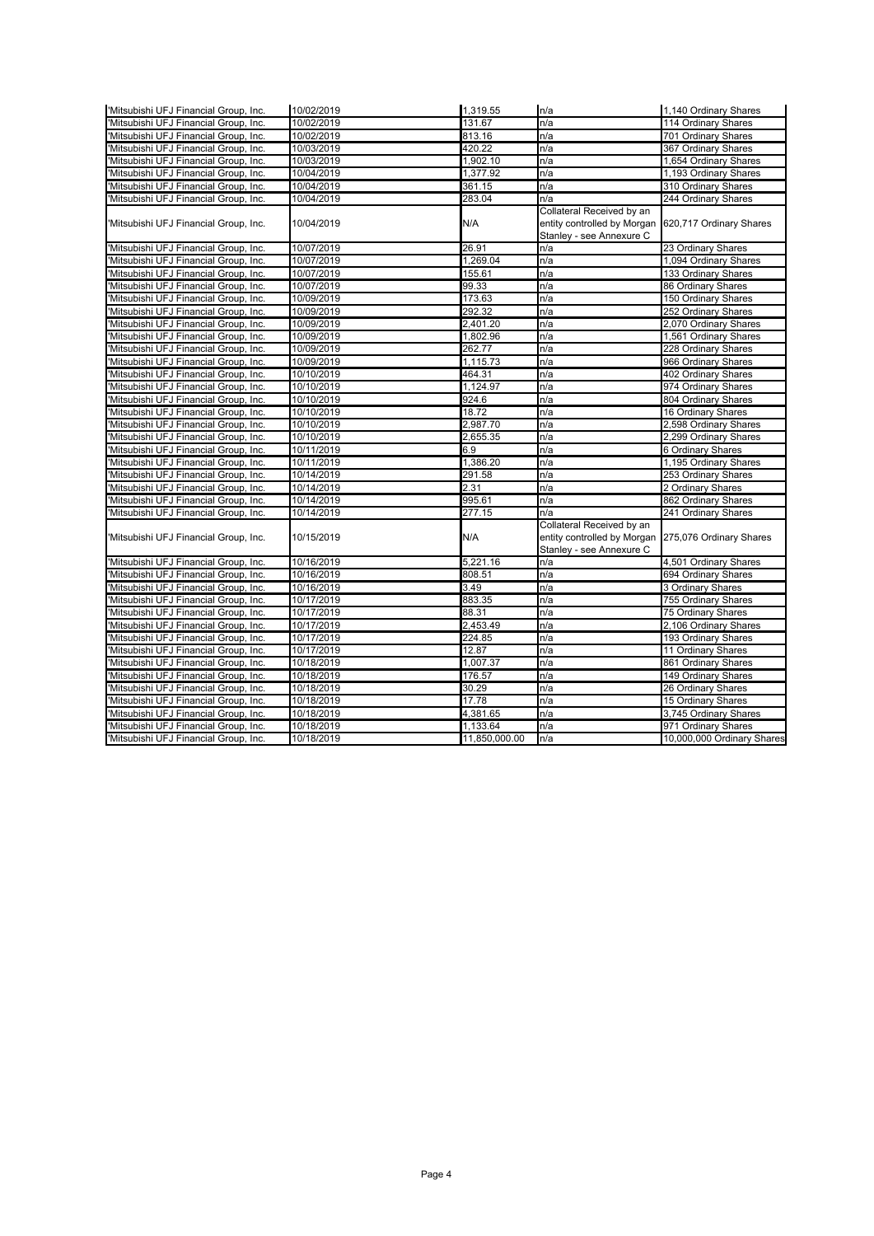| 'Mitsubishi UFJ Financial Group, Inc. | 10/02/2019 | 1,319.55      | n/a                                                                                                          | 1,140 Ordinary Shares      |
|---------------------------------------|------------|---------------|--------------------------------------------------------------------------------------------------------------|----------------------------|
| Mitsubishi UFJ Financial Group, Inc.  | 10/02/2019 | 131.67        | n/a                                                                                                          | <b>114 Ordinary Shares</b> |
| Mitsubishi UFJ Financial Group, Inc.  | 10/02/2019 | 813.16        | n/a                                                                                                          | 701 Ordinary Shares        |
| 'Mitsubishi UFJ Financial Group, Inc. | 10/03/2019 | 420.22        | n/a                                                                                                          | 367 Ordinary Shares        |
| 'Mitsubishi UFJ Financial Group, Inc. | 10/03/2019 | 1,902.10      | n/a                                                                                                          | 1,654 Ordinary Shares      |
| 'Mitsubishi UFJ Financial Group, Inc. | 10/04/2019 | 1,377.92      | n/a                                                                                                          | 1,193 Ordinary Shares      |
| 'Mitsubishi UFJ Financial Group, Inc. | 10/04/2019 | 361.15        | n/a                                                                                                          | 310 Ordinary Shares        |
| Mitsubishi UFJ Financial Group, Inc.  | 10/04/2019 | 283.04        | n/a                                                                                                          | 244 Ordinary Shares        |
| Mitsubishi UFJ Financial Group, Inc.  | 10/04/2019 | N/A           | Collateral Received by an<br>entity controlled by Morgan 620,717 Ordinary Shares<br>Stanley - see Annexure C |                            |
| 'Mitsubishi UFJ Financial Group, Inc. | 10/07/2019 | 26.91         | n/a                                                                                                          | 23 Ordinary Shares         |
| Mitsubishi UFJ Financial Group, Inc.  | 10/07/2019 | 1,269.04      | n/a                                                                                                          | 1,094 Ordinary Shares      |
| Mitsubishi UFJ Financial Group, Inc.  | 10/07/2019 | 155.61        | n/a                                                                                                          | 133 Ordinary Shares        |
| Mitsubishi UFJ Financial Group, Inc.  | 10/07/2019 | 99.33         | n/a                                                                                                          | 86 Ordinary Shares         |
| 'Mitsubishi UFJ Financial Group, Inc. | 10/09/2019 | 173.63        | n/a                                                                                                          | 150 Ordinary Shares        |
| 'Mitsubishi UFJ Financial Group, Inc. | 10/09/2019 | 292.32        | n/a                                                                                                          | 252 Ordinary Shares        |
| 'Mitsubishi UFJ Financial Group, Inc. | 10/09/2019 | 2,401.20      | n/a                                                                                                          | 2,070 Ordinary Shares      |
| 'Mitsubishi UFJ Financial Group, Inc. | 10/09/2019 | 1,802.96      | n/a                                                                                                          | 1,561 Ordinary Shares      |
| Mitsubishi UFJ Financial Group, Inc.  | 10/09/2019 | 262.77        | n/a                                                                                                          | 228 Ordinary Shares        |
| 'Mitsubishi UFJ Financial Group, Inc. | 10/09/2019 | 1,115.73      | n/a                                                                                                          | 966 Ordinary Shares        |
| Mitsubishi UFJ Financial Group, Inc.  | 10/10/2019 | 464.31        | n/a                                                                                                          | 402 Ordinary Shares        |
| Mitsubishi UFJ Financial Group, Inc.  | 10/10/2019 | 1,124.97      | n/a                                                                                                          | 974 Ordinary Shares        |
| Mitsubishi UFJ Financial Group, Inc.  | 10/10/2019 | 924.6         | n/a                                                                                                          | 804 Ordinary Shares        |
| 'Mitsubishi UFJ Financial Group, Inc. | 10/10/2019 | 18.72         | n/a                                                                                                          | 16 Ordinary Shares         |
| 'Mitsubishi UFJ Financial Group, Inc. | 10/10/2019 | 2,987.70      | n/a                                                                                                          | 2,598 Ordinary Shares      |
| Mitsubishi UFJ Financial Group, Inc.  | 10/10/2019 | 2,655.35      | n/a                                                                                                          | 2,299 Ordinary Shares      |
| Mitsubishi UFJ Financial Group, Inc.  | 10/11/2019 | 6.9           | n/a                                                                                                          | 6 Ordinary Shares          |
| Mitsubishi UFJ Financial Group, Inc.  | 10/11/2019 | 1,386.20      | n/a                                                                                                          | 1,195 Ordinary Shares      |
| Mitsubishi UFJ Financial Group, Inc.  | 10/14/2019 | 291.58        | n/a                                                                                                          | 253 Ordinary Shares        |
| Mitsubishi UFJ Financial Group, Inc.  | 10/14/2019 | 2.31          | n/a                                                                                                          | 2 Ordinary Shares          |
| 'Mitsubishi UFJ Financial Group, Inc. | 10/14/2019 | 995.61        | n/a                                                                                                          | 862 Ordinary Shares        |
| 'Mitsubishi UFJ Financial Group, Inc. | 10/14/2019 | 277.15        | n/a                                                                                                          | 241 Ordinary Shares        |
| 'Mitsubishi UFJ Financial Group, Inc. | 10/15/2019 | N/A           | Collateral Received by an<br>entity controlled by Morgan 275,076 Ordinary Shares<br>Stanley - see Annexure C |                            |
| 'Mitsubishi UFJ Financial Group, Inc. | 10/16/2019 | 5,221.16      | n/a                                                                                                          | 4,501 Ordinary Shares      |
| Mitsubishi UFJ Financial Group, Inc.  | 10/16/2019 | 808.51        | n/a                                                                                                          | 694 Ordinary Shares        |
| Mitsubishi UFJ Financial Group, Inc.  | 10/16/2019 | 3.49          | n/a                                                                                                          | 3 Ordinary Shares          |
| Mitsubishi UFJ Financial Group, Inc.  | 10/17/2019 | 883.35        | n/a                                                                                                          | 755 Ordinary Shares        |
| Mitsubishi UFJ Financial Group, Inc.  | 10/17/2019 | 88.31         | n/a                                                                                                          | 75 Ordinary Shares         |
| Mitsubishi UFJ Financial Group, Inc.  | 10/17/2019 | 2,453.49      | n/a                                                                                                          | 2,106 Ordinary Shares      |
| Mitsubishi UFJ Financial Group, Inc.  | 10/17/2019 | 224.85        | n/a                                                                                                          | 193 Ordinary Shares        |
| 'Mitsubishi UFJ Financial Group, Inc. | 10/17/2019 | 12.87         | n/a                                                                                                          | 11 Ordinary Shares         |
| 'Mitsubishi UFJ Financial Group, Inc. | 10/18/2019 | 1,007.37      | n/a                                                                                                          | 861 Ordinary Shares        |
| 'Mitsubishi UFJ Financial Group, Inc. | 10/18/2019 | 176.57        | n/a                                                                                                          | 149 Ordinary Shares        |
| 'Mitsubishi UFJ Financial Group, Inc. | 10/18/2019 | 30.29         | n/a                                                                                                          | 26 Ordinary Shares         |
| 'Mitsubishi UFJ Financial Group, Inc. | 10/18/2019 | 17.78         | n/a                                                                                                          | 15 Ordinary Shares         |
| 'Mitsubishi UFJ Financial Group, Inc. | 10/18/2019 | 4,381.65      | n/a                                                                                                          | 3,745 Ordinary Shares      |
| Mitsubishi UFJ Financial Group, Inc.  | 10/18/2019 | 1,133.64      | n/a                                                                                                          | 971 Ordinary Shares        |
| Mitsubishi UFJ Financial Group, Inc.  | 10/18/2019 | 11,850,000.00 | n/a                                                                                                          | 10,000,000 Ordinary Shares |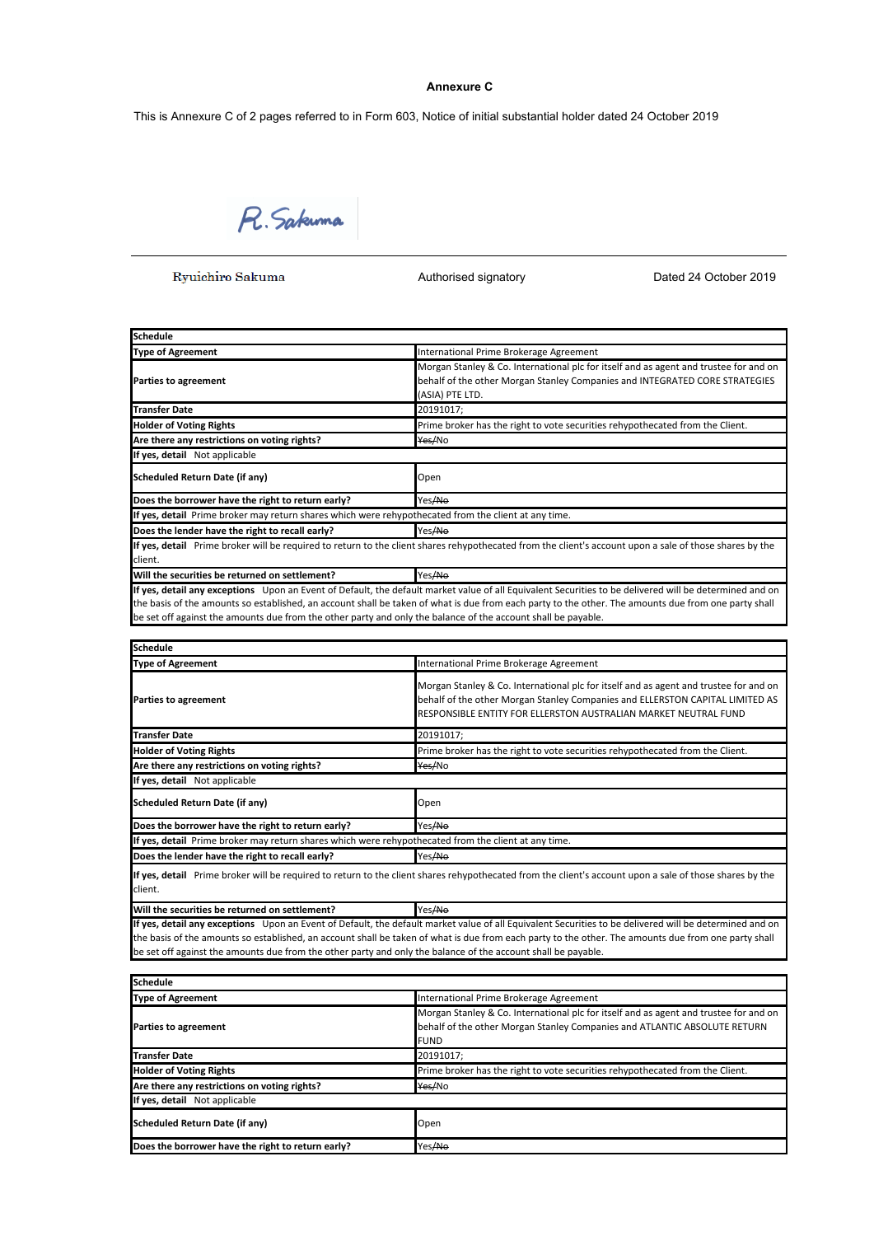# **Annexure C**

This is Annexure C of 2 pages referred to in Form 603, Notice of initial substantial holder dated 24 October 2019

R. Sakuma

Ryuichiro Sakuma

Authorised signatory **Dated 24 October 2019** 

| <b>Schedule</b>                                                                                      |                                                                                                                                                         |
|------------------------------------------------------------------------------------------------------|---------------------------------------------------------------------------------------------------------------------------------------------------------|
| <b>Type of Agreement</b>                                                                             | International Prime Brokerage Agreement                                                                                                                 |
|                                                                                                      | Morgan Stanley & Co. International plc for itself and as agent and trustee for and on                                                                   |
| <b>Parties to agreement</b>                                                                          | behalf of the other Morgan Stanley Companies and INTEGRATED CORE STRATEGIES                                                                             |
|                                                                                                      | (ASIA) PTE LTD.                                                                                                                                         |
| <b>Transfer Date</b>                                                                                 | 20191017;                                                                                                                                               |
| <b>Holder of Voting Rights</b>                                                                       | Prime broker has the right to vote securities rehypothecated from the Client.                                                                           |
| Are there any restrictions on voting rights?                                                         | Yes/No                                                                                                                                                  |
| If yes, detail Not applicable                                                                        |                                                                                                                                                         |
| Scheduled Return Date (if any)                                                                       | Open                                                                                                                                                    |
| Does the borrower have the right to return early?                                                    | Yes/No                                                                                                                                                  |
| If yes, detail Prime broker may return shares which were rehypothecated from the client at any time. |                                                                                                                                                         |
| Does the lender have the right to recall early?                                                      | Yes/No                                                                                                                                                  |
|                                                                                                      | If yes, detail Prime broker will be required to return to the client shares rehypothecated from the client's account upon a sale of those shares by the |
| client.                                                                                              |                                                                                                                                                         |
| Will the securities be returned on settlement?                                                       | Yes/No                                                                                                                                                  |
|                                                                                                      | If yes, detail any exceptions Upon an Event of Default, the default market value of all Equivalent Securities to be delivered will be determined and on |

the basis of the amounts so established, an account shall be taken of what is due from each party to the other. The amounts due from one party shall be set off against the amounts due from the other party and only the balance of the account shall be payable.

| <b>Schedule</b>                                                                                      |                                                                                                                                                                                                                                           |
|------------------------------------------------------------------------------------------------------|-------------------------------------------------------------------------------------------------------------------------------------------------------------------------------------------------------------------------------------------|
| <b>Type of Agreement</b>                                                                             | International Prime Brokerage Agreement                                                                                                                                                                                                   |
| <b>Parties to agreement</b>                                                                          | Morgan Stanley & Co. International plc for itself and as agent and trustee for and on<br>behalf of the other Morgan Stanley Companies and ELLERSTON CAPITAL LIMITED AS<br>RESPONSIBLE ENTITY FOR ELLERSTON AUSTRALIAN MARKET NEUTRAL FUND |
| <b>Transfer Date</b>                                                                                 | 20191017;                                                                                                                                                                                                                                 |
| <b>Holder of Voting Rights</b>                                                                       | Prime broker has the right to vote securities rehypothecated from the Client.                                                                                                                                                             |
| Are there any restrictions on voting rights?                                                         | Yes/No                                                                                                                                                                                                                                    |
| If yes, detail Not applicable                                                                        |                                                                                                                                                                                                                                           |
| Scheduled Return Date (if any)                                                                       | Open                                                                                                                                                                                                                                      |
| Does the borrower have the right to return early?                                                    | Yes/No                                                                                                                                                                                                                                    |
| If yes, detail Prime broker may return shares which were rehypothecated from the client at any time. |                                                                                                                                                                                                                                           |
| Does the lender have the right to recall early?                                                      | Yes/No                                                                                                                                                                                                                                    |
|                                                                                                      |                                                                                                                                                                                                                                           |

**If yes, detail** Prime broker will be required to return to the client shares rehypothecated from the client's account upon a sale of those shares by the client.

**Will the securities be returned on settlement?** Yes/No **If yes, detail any exceptions** Upon an Event of Default, the default market value of all Equivalent Securities to be delivered will be determined and on the basis of the amounts so established, an account shall be taken of what is due from each party to the other. The amounts due from one party shall be set off against the amounts due from the other party and only the balance of the account shall be payable.

| <b>Schedule</b>                                   |                                                                                                                                                                                   |
|---------------------------------------------------|-----------------------------------------------------------------------------------------------------------------------------------------------------------------------------------|
| <b>Type of Agreement</b>                          | International Prime Brokerage Agreement                                                                                                                                           |
| <b>Parties to agreement</b>                       | Morgan Stanley & Co. International plc for itself and as agent and trustee for and on<br>behalf of the other Morgan Stanley Companies and ATLANTIC ABSOLUTE RETURN<br><b>FUND</b> |
| <b>Transfer Date</b>                              | 20191017;                                                                                                                                                                         |
| <b>Holder of Voting Rights</b>                    | Prime broker has the right to vote securities rehypothecated from the Client.                                                                                                     |
| Are there any restrictions on voting rights?      | Yes/No                                                                                                                                                                            |
| If yes, detail Not applicable                     |                                                                                                                                                                                   |
| Scheduled Return Date (if any)                    | Open                                                                                                                                                                              |
| Does the borrower have the right to return early? | Yes/No                                                                                                                                                                            |